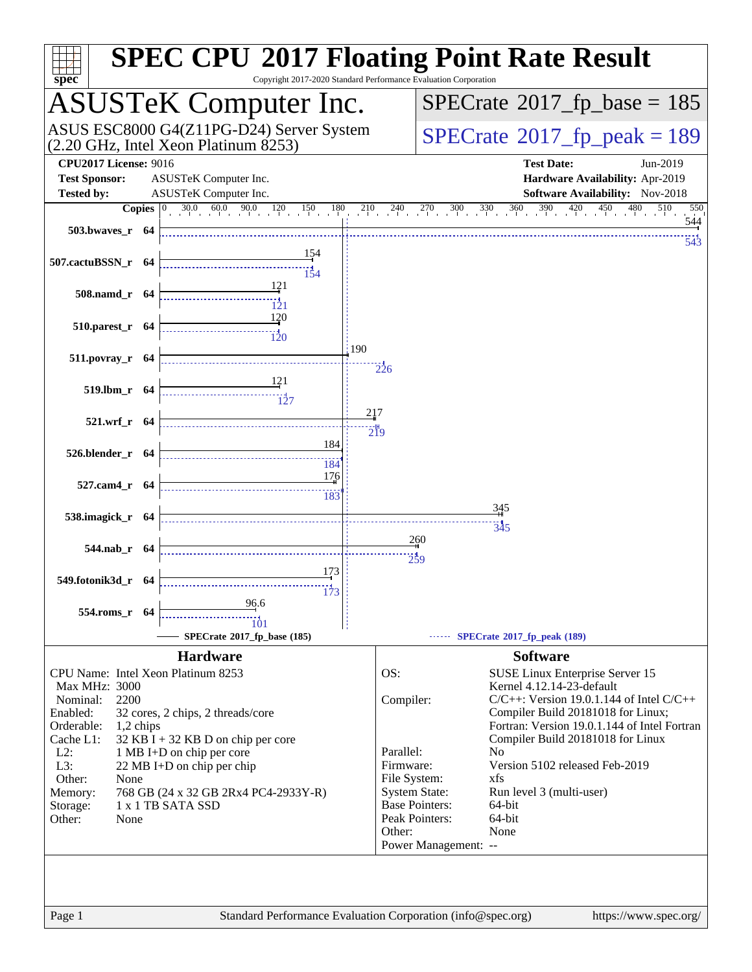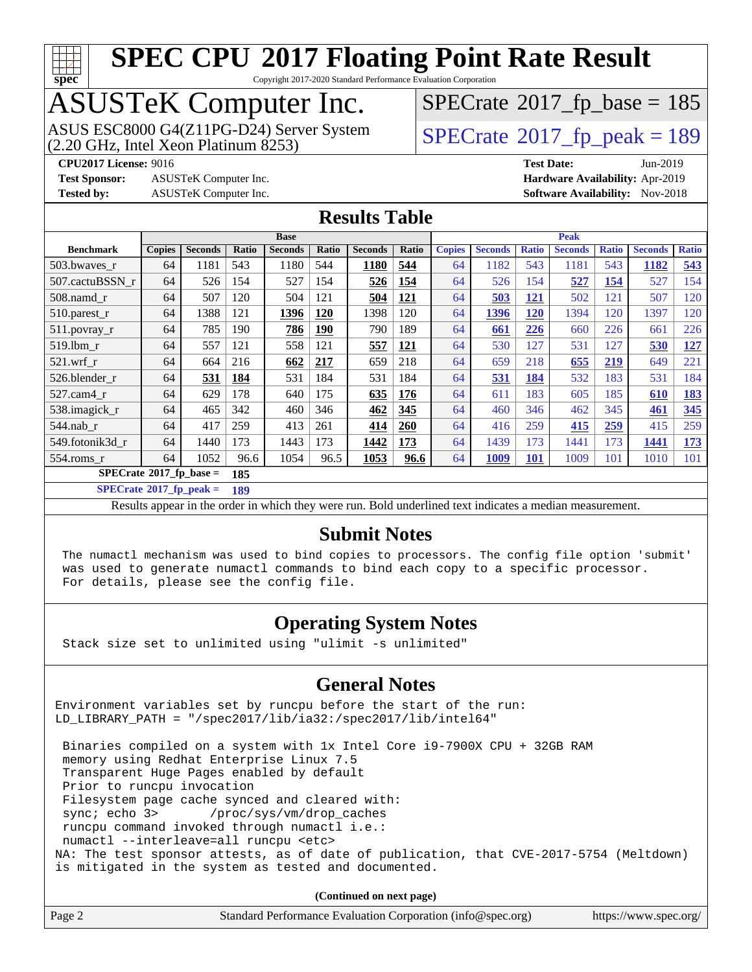

Copyright 2017-2020 Standard Performance Evaluation Corporation

## ASUSTeK Computer Inc.

(2.20 GHz, Intel Xeon Platinum 8253) ASUS ESC8000 G4(Z11PG-D24) Server System  $\sqrt{SPECrate^{\circ}2017\_fp\_peak} = 189$  $\sqrt{SPECrate^{\circ}2017\_fp\_peak} = 189$  $\sqrt{SPECrate^{\circ}2017\_fp\_peak} = 189$ 

 $SPECrate$ <sup>®</sup>[2017\\_fp\\_base =](http://www.spec.org/auto/cpu2017/Docs/result-fields.html#SPECrate2017fpbase) 185

**[Test Sponsor:](http://www.spec.org/auto/cpu2017/Docs/result-fields.html#TestSponsor)** ASUSTeK Computer Inc. **[Hardware Availability:](http://www.spec.org/auto/cpu2017/Docs/result-fields.html#HardwareAvailability)** Apr-2019

**[CPU2017 License:](http://www.spec.org/auto/cpu2017/Docs/result-fields.html#CPU2017License)** 9016 **[Test Date:](http://www.spec.org/auto/cpu2017/Docs/result-fields.html#TestDate)** Jun-2019 **[Tested by:](http://www.spec.org/auto/cpu2017/Docs/result-fields.html#Testedby)** ASUSTeK Computer Inc. **[Software Availability:](http://www.spec.org/auto/cpu2017/Docs/result-fields.html#SoftwareAvailability)** Nov-2018

**[Results Table](http://www.spec.org/auto/cpu2017/Docs/result-fields.html#ResultsTable)**

|                                         | <b>Base</b>   |                |       |                |            |                | <b>Peak</b> |               |                |              |                |              |                |              |
|-----------------------------------------|---------------|----------------|-------|----------------|------------|----------------|-------------|---------------|----------------|--------------|----------------|--------------|----------------|--------------|
| <b>Benchmark</b>                        | <b>Copies</b> | <b>Seconds</b> | Ratio | <b>Seconds</b> | Ratio      | <b>Seconds</b> | Ratio       | <b>Copies</b> | <b>Seconds</b> | <b>Ratio</b> | <b>Seconds</b> | <b>Ratio</b> | <b>Seconds</b> | <b>Ratio</b> |
| 503.bwayes r                            | 64            | 1181           | 543   | 1180           | 544        | 1180           | 544         | 64            | 1182           | 543          | 1181           | 543          | 1182           | 543          |
| 507.cactuBSSN r                         | 64            | 526            | 154   | 527            | 154        | 526            | 154         | 64            | 526            | 154          | 527            | 154          | 527            | 154          |
| $508$ .namd $r$                         | 64            | 507            | 120   | 504            | 121        | 504            | 121         | 64            | 503            | 121          | 502            | 121          | 507            | 120          |
| 510.parest_r                            | 64            | 1388           | 121   | 1396           | 120        | 1398           | 120         | 64            | 1396           | 120          | 1394           | 120          | 1397           | 120          |
| $511.$ povray_r                         | 64            | 785            | 190   | 786            | <u>190</u> | 790            | 189         | 64            | 661            | 226          | 660            | 226          | 661            | 226          |
| 519.lbm r                               | 64            | 557            | 121   | 558            | 121        | 557            | 121         | 64            | 530            | 127          | 531            | 127          | 530            | 127          |
| $521$ .wrf r                            | 64            | 664            | 216   | 662            | 217        | 659            | 218         | 64            | 659            | 218          | 655            | 219          | 649            | 221          |
| 526.blender r                           | 64            | 531            | 184   | 531            | 184        | 531            | 184         | 64            | 531            | 184          | 532            | 183          | 531            | 184          |
| $527$ .cam $4$ r                        | 64            | 629            | 178   | 640            | 175        | 635            | 176         | 64            | 611            | 183          | 605            | 185          | 610            | <u>183</u>   |
| 538.imagick_r                           | 64            | 465            | 342   | 460            | 346        | 462            | 345         | 64            | 460            | 346          | 462            | 345          | 461            | 345          |
| 544.nab r                               | 64            | 417            | 259   | 413            | 261        | 414            | 260         | 64            | 416            | 259          | 415            | 259          | 415            | 259          |
| 549.fotonik3d r                         | 64            | 1440           | 173   | 1443           | 173        | 1442           | 173         | 64            | 1439           | 173          | 1441           | 173          | 1441           | <u>173</u>   |
| $554$ .roms r                           | 64            | 1052           | 96.6  | 1054           | 96.5       | 1053           | 96.6        | 64            | 1009           | <b>101</b>   | 1009           | 101          | 1010           | 101          |
| $SPECrate^{\circ}2017$ fp base =<br>185 |               |                |       |                |            |                |             |               |                |              |                |              |                |              |

**[SPECrate](http://www.spec.org/auto/cpu2017/Docs/result-fields.html#SPECrate2017fppeak)[2017\\_fp\\_peak =](http://www.spec.org/auto/cpu2017/Docs/result-fields.html#SPECrate2017fppeak) 189**

Results appear in the [order in which they were run.](http://www.spec.org/auto/cpu2017/Docs/result-fields.html#RunOrder) Bold underlined text [indicates a median measurement.](http://www.spec.org/auto/cpu2017/Docs/result-fields.html#Median)

#### **[Submit Notes](http://www.spec.org/auto/cpu2017/Docs/result-fields.html#SubmitNotes)**

 The numactl mechanism was used to bind copies to processors. The config file option 'submit' was used to generate numactl commands to bind each copy to a specific processor. For details, please see the config file.

#### **[Operating System Notes](http://www.spec.org/auto/cpu2017/Docs/result-fields.html#OperatingSystemNotes)**

Stack size set to unlimited using "ulimit -s unlimited"

#### **[General Notes](http://www.spec.org/auto/cpu2017/Docs/result-fields.html#GeneralNotes)**

Environment variables set by runcpu before the start of the run: LD\_LIBRARY\_PATH = "/spec2017/lib/ia32:/spec2017/lib/intel64"

 Binaries compiled on a system with 1x Intel Core i9-7900X CPU + 32GB RAM memory using Redhat Enterprise Linux 7.5 Transparent Huge Pages enabled by default Prior to runcpu invocation Filesystem page cache synced and cleared with: sync; echo 3> /proc/sys/vm/drop\_caches runcpu command invoked through numactl i.e.: numactl --interleave=all runcpu <etc> NA: The test sponsor attests, as of date of publication, that CVE-2017-5754 (Meltdown) is mitigated in the system as tested and documented.

**(Continued on next page)**

| Standard Performance Evaluation Corporation (info@spec.org)<br>Page 2 | https://www.spec.org/ |
|-----------------------------------------------------------------------|-----------------------|
|-----------------------------------------------------------------------|-----------------------|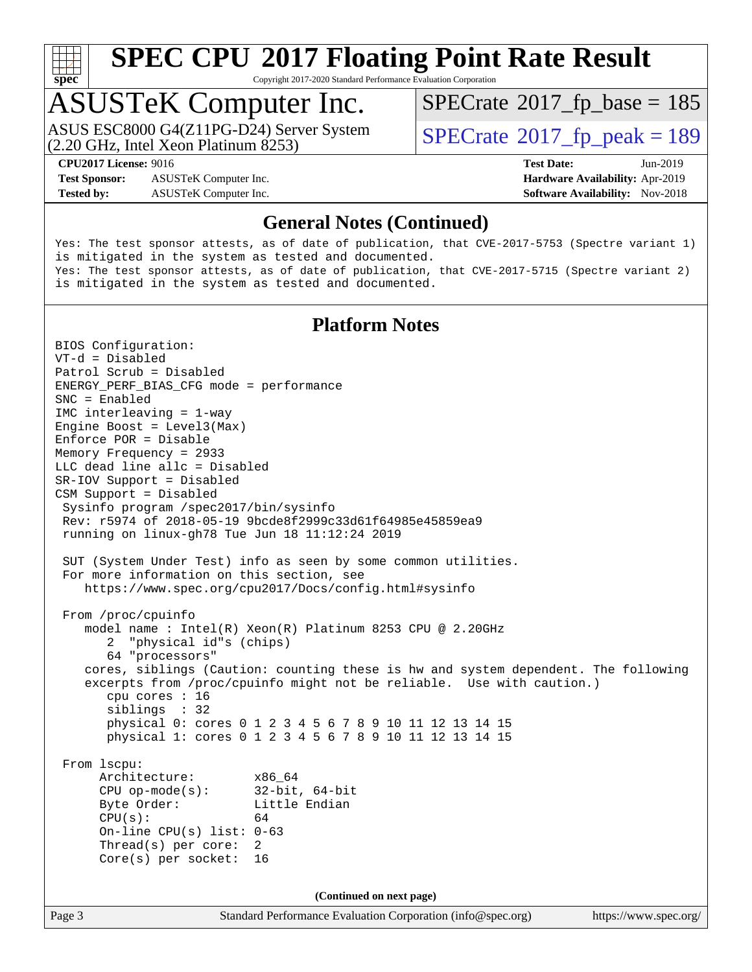

Copyright 2017-2020 Standard Performance Evaluation Corporation

#### ASUSTeK Computer Inc.

(2.20 GHz, Intel Xeon Platinum 8253) ASUS ESC8000 G4(Z11PG-D24) Server System  $\vert$  [SPECrate](http://www.spec.org/auto/cpu2017/Docs/result-fields.html#SPECrate2017fppeak)®[2017\\_fp\\_peak = 1](http://www.spec.org/auto/cpu2017/Docs/result-fields.html#SPECrate2017fppeak)89

 $SPECTate$ <sup>®</sup>[2017\\_fp\\_base =](http://www.spec.org/auto/cpu2017/Docs/result-fields.html#SPECrate2017fpbase) 185

**[Test Sponsor:](http://www.spec.org/auto/cpu2017/Docs/result-fields.html#TestSponsor)** ASUSTeK Computer Inc. **[Hardware Availability:](http://www.spec.org/auto/cpu2017/Docs/result-fields.html#HardwareAvailability)** Apr-2019 **[Tested by:](http://www.spec.org/auto/cpu2017/Docs/result-fields.html#Testedby)** ASUSTeK Computer Inc. **[Software Availability:](http://www.spec.org/auto/cpu2017/Docs/result-fields.html#SoftwareAvailability)** Nov-2018

**[CPU2017 License:](http://www.spec.org/auto/cpu2017/Docs/result-fields.html#CPU2017License)** 9016 **[Test Date:](http://www.spec.org/auto/cpu2017/Docs/result-fields.html#TestDate)** Jun-2019

#### **[General Notes \(Continued\)](http://www.spec.org/auto/cpu2017/Docs/result-fields.html#GeneralNotes)**

Yes: The test sponsor attests, as of date of publication, that CVE-2017-5753 (Spectre variant 1) is mitigated in the system as tested and documented. Yes: The test sponsor attests, as of date of publication, that CVE-2017-5715 (Spectre variant 2) is mitigated in the system as tested and documented.

#### **[Platform Notes](http://www.spec.org/auto/cpu2017/Docs/result-fields.html#PlatformNotes)**

Page 3 Standard Performance Evaluation Corporation [\(info@spec.org\)](mailto:info@spec.org) <https://www.spec.org/> BIOS Configuration: VT-d = Disabled Patrol Scrub = Disabled ENERGY\_PERF\_BIAS\_CFG mode = performance SNC = Enabled IMC interleaving = 1-way Engine Boost = Level3(Max) Enforce POR = Disable Memory Frequency = 2933 LLC dead line allc = Disabled SR-IOV Support = Disabled CSM Support = Disabled Sysinfo program /spec2017/bin/sysinfo Rev: r5974 of 2018-05-19 9bcde8f2999c33d61f64985e45859ea9 running on linux-gh78 Tue Jun 18 11:12:24 2019 SUT (System Under Test) info as seen by some common utilities. For more information on this section, see <https://www.spec.org/cpu2017/Docs/config.html#sysinfo> From /proc/cpuinfo model name : Intel(R) Xeon(R) Platinum 8253 CPU @ 2.20GHz 2 "physical id"s (chips) 64 "processors" cores, siblings (Caution: counting these is hw and system dependent. The following excerpts from /proc/cpuinfo might not be reliable. Use with caution.) cpu cores : 16 siblings : 32 physical 0: cores 0 1 2 3 4 5 6 7 8 9 10 11 12 13 14 15 physical 1: cores 0 1 2 3 4 5 6 7 8 9 10 11 12 13 14 15 From lscpu: Architecture: x86\_64 CPU op-mode(s): 32-bit, 64-bit Byte Order: Little Endian  $CPU(s):$  64 On-line CPU(s) list: 0-63 Thread(s) per core: 2 Core(s) per socket: 16 **(Continued on next page)**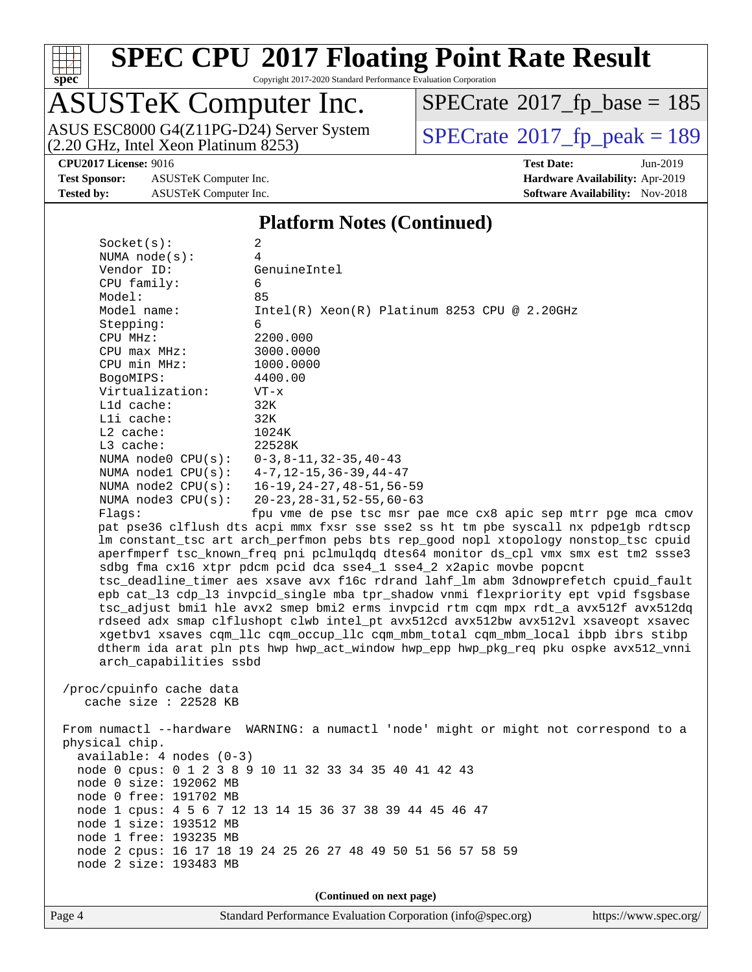

Copyright 2017-2020 Standard Performance Evaluation Corporation

## ASUSTeK Computer Inc.

ASUS ESC8000 G4(Z11PG-D24) Server System  $(2.20 \text{ GHz}, \text{ Intel Xeon Platinum } 8253)$   $\text{SPECrate} \textcircled{2017\_fp\_peak} = 189$  $\text{SPECrate} \textcircled{2017\_fp\_peak} = 189$  $\text{SPECrate} \textcircled{2017\_fp\_peak} = 189$ 

 $SPECrate$ <sup>®</sup>[2017\\_fp\\_base =](http://www.spec.org/auto/cpu2017/Docs/result-fields.html#SPECrate2017fpbase) 185

**[Test Sponsor:](http://www.spec.org/auto/cpu2017/Docs/result-fields.html#TestSponsor)** ASUSTeK Computer Inc. **[Hardware Availability:](http://www.spec.org/auto/cpu2017/Docs/result-fields.html#HardwareAvailability)** Apr-2019 **[Tested by:](http://www.spec.org/auto/cpu2017/Docs/result-fields.html#Testedby)** ASUSTeK Computer Inc. **[Software Availability:](http://www.spec.org/auto/cpu2017/Docs/result-fields.html#SoftwareAvailability)** Nov-2018

**[CPU2017 License:](http://www.spec.org/auto/cpu2017/Docs/result-fields.html#CPU2017License)** 9016 **[Test Date:](http://www.spec.org/auto/cpu2017/Docs/result-fields.html#TestDate)** Jun-2019

#### **[Platform Notes \(Continued\)](http://www.spec.org/auto/cpu2017/Docs/result-fields.html#PlatformNotes)**

| Socket(s):                                        | 2                                                                                    |  |  |  |  |  |  |
|---------------------------------------------------|--------------------------------------------------------------------------------------|--|--|--|--|--|--|
| NUMA $node(s):$                                   | 4                                                                                    |  |  |  |  |  |  |
| Vendor ID:                                        | GenuineIntel                                                                         |  |  |  |  |  |  |
| CPU family:                                       | 6                                                                                    |  |  |  |  |  |  |
| Model:                                            | 85                                                                                   |  |  |  |  |  |  |
| Model name:                                       | $Intel(R)$ Xeon $(R)$ Platinum 8253 CPU @ 2.20GHz                                    |  |  |  |  |  |  |
| Stepping:                                         | 6                                                                                    |  |  |  |  |  |  |
| CPU MHz:                                          | 2200.000                                                                             |  |  |  |  |  |  |
| $CPU$ max $MHz$ :<br>CPU min MHz:                 | 3000.0000                                                                            |  |  |  |  |  |  |
| BogoMIPS:                                         | 1000.0000<br>4400.00                                                                 |  |  |  |  |  |  |
| Virtualization:                                   | $VT - x$                                                                             |  |  |  |  |  |  |
| L1d cache:                                        | 32K                                                                                  |  |  |  |  |  |  |
| Lli cache:                                        | 32K                                                                                  |  |  |  |  |  |  |
| $L2$ cache:                                       | 1024K                                                                                |  |  |  |  |  |  |
| L3 cache:                                         | 22528K                                                                               |  |  |  |  |  |  |
| NUMA $node0$ $CPU(s):$                            | 0-3,8-11,32-35,40-43                                                                 |  |  |  |  |  |  |
| NUMA $node1$ $CPU(s):$                            | 4-7,12-15,36-39,44-47                                                                |  |  |  |  |  |  |
| NUMA $node2$ $CPU(s):$                            | 16-19, 24-27, 48-51, 56-59                                                           |  |  |  |  |  |  |
| NUMA $node3$ $CPU(s):$                            | $20 - 23, 28 - 31, 52 - 55, 60 - 63$                                                 |  |  |  |  |  |  |
| Flaqs:                                            | fpu vme de pse tsc msr pae mce cx8 apic sep mtrr pge mca cmov                        |  |  |  |  |  |  |
|                                                   | pat pse36 clflush dts acpi mmx fxsr sse sse2 ss ht tm pbe syscall nx pdpe1gb rdtscp  |  |  |  |  |  |  |
|                                                   | lm constant_tsc art arch_perfmon pebs bts rep_good nopl xtopology nonstop_tsc cpuid  |  |  |  |  |  |  |
|                                                   | aperfmperf tsc_known_freq pni pclmulqdq dtes64 monitor ds_cpl vmx smx est tm2 ssse3  |  |  |  |  |  |  |
|                                                   | sdbg fma cx16 xtpr pdcm pcid dca sse4_1 sse4_2 x2apic movbe popcnt                   |  |  |  |  |  |  |
|                                                   | tsc_deadline_timer aes xsave avx f16c rdrand lahf_lm abm 3dnowprefetch cpuid_fault   |  |  |  |  |  |  |
|                                                   | epb cat_13 cdp_13 invpcid_single mba tpr_shadow vnmi flexpriority ept vpid fsgsbase  |  |  |  |  |  |  |
|                                                   | tsc_adjust bmil hle avx2 smep bmi2 erms invpcid rtm cqm mpx rdt_a avx512f avx512dq   |  |  |  |  |  |  |
|                                                   | rdseed adx smap clflushopt clwb intel_pt avx512cd avx512bw avx512vl xsaveopt xsavec  |  |  |  |  |  |  |
|                                                   | xgetbvl xsaves cqm_llc cqm_occup_llc cqm_mbm_total cqm_mbm_local ibpb ibrs stibp     |  |  |  |  |  |  |
|                                                   | dtherm ida arat pln pts hwp hwp_act_window hwp_epp hwp_pkg_req pku ospke avx512_vnni |  |  |  |  |  |  |
| arch_capabilities ssbd                            |                                                                                      |  |  |  |  |  |  |
|                                                   |                                                                                      |  |  |  |  |  |  |
| /proc/cpuinfo cache data<br>cache size : 22528 KB |                                                                                      |  |  |  |  |  |  |
|                                                   |                                                                                      |  |  |  |  |  |  |
|                                                   | From numactl --hardware WARNING: a numactl 'node' might or might not correspond to a |  |  |  |  |  |  |
| physical chip.                                    |                                                                                      |  |  |  |  |  |  |
| $available: 4 nodes (0-3)$                        |                                                                                      |  |  |  |  |  |  |
|                                                   | node 0 cpus: 0 1 2 3 8 9 10 11 32 33 34 35 40 41 42 43                               |  |  |  |  |  |  |
| node 0 size: 192062 MB                            |                                                                                      |  |  |  |  |  |  |
| node 0 free: 191702 MB                            |                                                                                      |  |  |  |  |  |  |
|                                                   | node 1 cpus: 4 5 6 7 12 13 14 15 36 37 38 39 44 45 46 47                             |  |  |  |  |  |  |
| node 1 size: 193512 MB                            |                                                                                      |  |  |  |  |  |  |
| node 1 free: 193235 MB                            |                                                                                      |  |  |  |  |  |  |
|                                                   | node 2 cpus: 16 17 18 19 24 25 26 27 48 49 50 51 56 57 58 59                         |  |  |  |  |  |  |
| node 2 size: 193483 MB                            |                                                                                      |  |  |  |  |  |  |
|                                                   |                                                                                      |  |  |  |  |  |  |
|                                                   | (Continued on next page)                                                             |  |  |  |  |  |  |

Page 4 Standard Performance Evaluation Corporation [\(info@spec.org\)](mailto:info@spec.org) <https://www.spec.org/>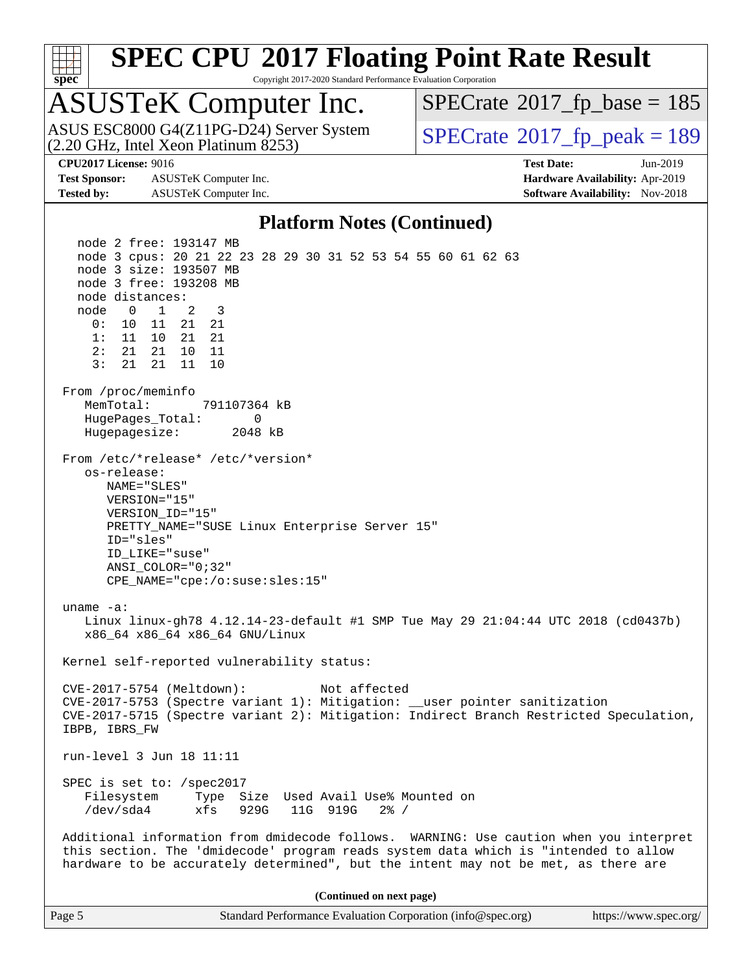

Copyright 2017-2020 Standard Performance Evaluation Corporation

# ASUSTeK Computer Inc.<br>ASUS ESC8000 G4(Z11PG-D24) Server System

(2.20 GHz, Intel Xeon Platinum 8253)

 $SPECTate$ <sup>®</sup>[2017\\_fp\\_base =](http://www.spec.org/auto/cpu2017/Docs/result-fields.html#SPECrate2017fpbase) 185

**[Test Sponsor:](http://www.spec.org/auto/cpu2017/Docs/result-fields.html#TestSponsor)** ASUSTeK Computer Inc. **[Hardware Availability:](http://www.spec.org/auto/cpu2017/Docs/result-fields.html#HardwareAvailability)** Apr-2019 **[Tested by:](http://www.spec.org/auto/cpu2017/Docs/result-fields.html#Testedby)** ASUSTeK Computer Inc. **[Software Availability:](http://www.spec.org/auto/cpu2017/Docs/result-fields.html#SoftwareAvailability)** Nov-2018

 $SPECTate<sup>®</sup>2017<sub>fr</sub>peak = 189$ 

**[CPU2017 License:](http://www.spec.org/auto/cpu2017/Docs/result-fields.html#CPU2017License)** 9016 **[Test Date:](http://www.spec.org/auto/cpu2017/Docs/result-fields.html#TestDate)** Jun-2019

#### **[Platform Notes \(Continued\)](http://www.spec.org/auto/cpu2017/Docs/result-fields.html#PlatformNotes)**

 node 2 free: 193147 MB node 3 cpus: 20 21 22 23 28 29 30 31 52 53 54 55 60 61 62 63 node 3 size: 193507 MB node 3 free: 193208 MB node distances: node 0 1 2 3 0: 10 11 21 21 1: 11 10 21 21 2: 21 21 10 11 3: 21 21 11 10 From /proc/meminfo MemTotal: 791107364 kB HugePages\_Total: 0 Hugepagesize: 2048 kB From /etc/\*release\* /etc/\*version\* os-release: NAME="SLES" VERSION="15" VERSION\_ID="15" PRETTY\_NAME="SUSE Linux Enterprise Server 15" ID="sles" ID\_LIKE="suse" ANSI\_COLOR="0;32" CPE\_NAME="cpe:/o:suse:sles:15" uname -a: Linux linux-gh78 4.12.14-23-default #1 SMP Tue May 29 21:04:44 UTC 2018 (cd0437b) x86\_64 x86\_64 x86\_64 GNU/Linux Kernel self-reported vulnerability status: CVE-2017-5754 (Meltdown): Not affected CVE-2017-5753 (Spectre variant 1): Mitigation: \_\_user pointer sanitization CVE-2017-5715 (Spectre variant 2): Mitigation: Indirect Branch Restricted Speculation, IBPB, IBRS\_FW run-level 3 Jun 18 11:11 SPEC is set to: /spec2017 Filesystem Type Size Used Avail Use% Mounted on /dev/sda4 xfs 929G 11G 919G 2% / Additional information from dmidecode follows. WARNING: Use caution when you interpret this section. The 'dmidecode' program reads system data which is "intended to allow hardware to be accurately determined", but the intent may not be met, as there are **(Continued on next page)**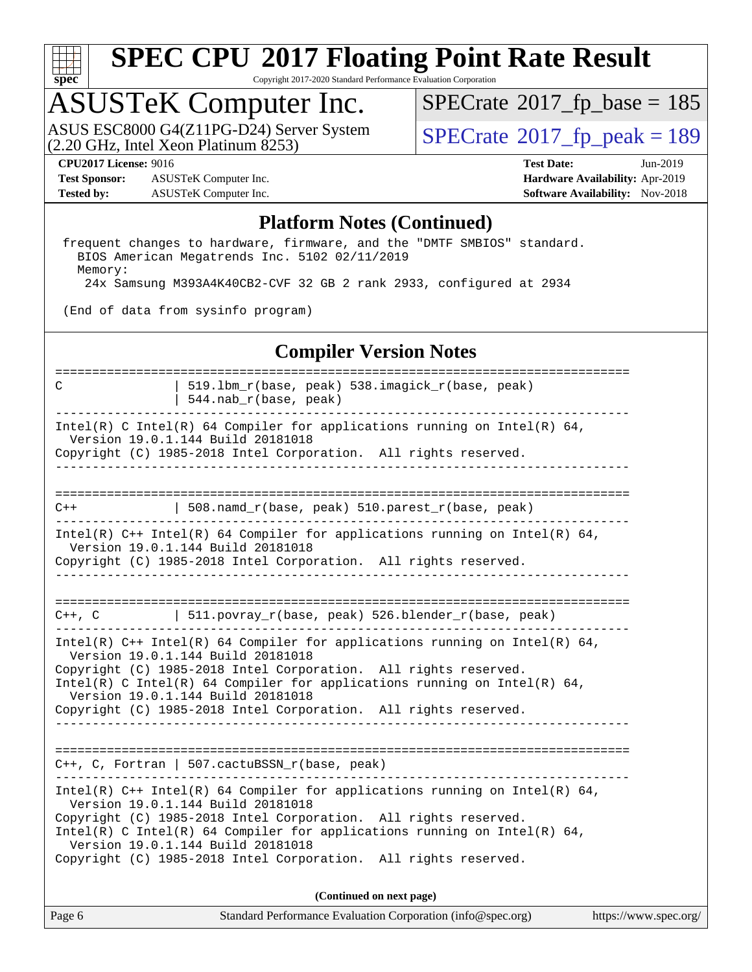

Copyright 2017-2020 Standard Performance Evaluation Corporation

#### ASUSTeK Computer Inc.

(2.20 GHz, Intel Xeon Platinum 8253) ASUS ESC8000 G4(Z11PG-D24) Server System  $\sqrt{SPECrate^{\circ}2017\_fp\_peak} = 189$  $\sqrt{SPECrate^{\circ}2017\_fp\_peak} = 189$  $\sqrt{SPECrate^{\circ}2017\_fp\_peak} = 189$ 

 $SPECrate$ <sup>®</sup>[2017\\_fp\\_base =](http://www.spec.org/auto/cpu2017/Docs/result-fields.html#SPECrate2017fpbase) 185

**[Test Sponsor:](http://www.spec.org/auto/cpu2017/Docs/result-fields.html#TestSponsor)** ASUSTeK Computer Inc. **[Hardware Availability:](http://www.spec.org/auto/cpu2017/Docs/result-fields.html#HardwareAvailability)** Apr-2019 **[Tested by:](http://www.spec.org/auto/cpu2017/Docs/result-fields.html#Testedby)** ASUSTeK Computer Inc. **[Software Availability:](http://www.spec.org/auto/cpu2017/Docs/result-fields.html#SoftwareAvailability)** Nov-2018

**[CPU2017 License:](http://www.spec.org/auto/cpu2017/Docs/result-fields.html#CPU2017License)** 9016 **[Test Date:](http://www.spec.org/auto/cpu2017/Docs/result-fields.html#TestDate)** Jun-2019

#### **[Platform Notes \(Continued\)](http://www.spec.org/auto/cpu2017/Docs/result-fields.html#PlatformNotes)**

 frequent changes to hardware, firmware, and the "DMTF SMBIOS" standard. BIOS American Megatrends Inc. 5102 02/11/2019 Memory: 24x Samsung M393A4K40CB2-CVF 32 GB 2 rank 2933, configured at 2934

(End of data from sysinfo program)

#### **[Compiler Version Notes](http://www.spec.org/auto/cpu2017/Docs/result-fields.html#CompilerVersionNotes)**

| C                                                                                                                 | 519.1bm_r(base, peak) 538.imagick_r(base, peak)<br>544.nab_r(base, peak)                                                                    |  |  |  |  |  |  |
|-------------------------------------------------------------------------------------------------------------------|---------------------------------------------------------------------------------------------------------------------------------------------|--|--|--|--|--|--|
| Intel(R) C Intel(R) 64 Compiler for applications running on Intel(R) 64,<br>Version 19.0.1.144 Build 20181018     |                                                                                                                                             |  |  |  |  |  |  |
|                                                                                                                   | Copyright (C) 1985-2018 Intel Corporation. All rights reserved.                                                                             |  |  |  |  |  |  |
|                                                                                                                   |                                                                                                                                             |  |  |  |  |  |  |
| $C++$                                                                                                             | 508.namd_r(base, peak) 510.parest_r(base, peak)                                                                                             |  |  |  |  |  |  |
|                                                                                                                   | Intel(R) $C++$ Intel(R) 64 Compiler for applications running on Intel(R) 64,<br>Version 19.0.1.144 Build 20181018                           |  |  |  |  |  |  |
|                                                                                                                   | Copyright (C) 1985-2018 Intel Corporation. All rights reserved.<br>--------------------                                                     |  |  |  |  |  |  |
|                                                                                                                   |                                                                                                                                             |  |  |  |  |  |  |
|                                                                                                                   | C++, C $ 511.povray_r(base, peak) 526.blender_r(base, peak)$                                                                                |  |  |  |  |  |  |
| Intel(R) $C++$ Intel(R) 64 Compiler for applications running on Intel(R) 64,<br>Version 19.0.1.144 Build 20181018 |                                                                                                                                             |  |  |  |  |  |  |
| Copyright (C) 1985-2018 Intel Corporation. All rights reserved.                                                   |                                                                                                                                             |  |  |  |  |  |  |
| Intel(R) C Intel(R) 64 Compiler for applications running on Intel(R) 64,<br>Version 19.0.1.144 Build 20181018     |                                                                                                                                             |  |  |  |  |  |  |
|                                                                                                                   | Copyright (C) 1985-2018 Intel Corporation. All rights reserved.                                                                             |  |  |  |  |  |  |
|                                                                                                                   |                                                                                                                                             |  |  |  |  |  |  |
|                                                                                                                   | C++, C, Fortran   507.cactuBSSN_r(base, peak)                                                                                               |  |  |  |  |  |  |
|                                                                                                                   | Intel(R) $C++$ Intel(R) 64 Compiler for applications running on Intel(R) 64,<br>Version 19.0.1.144 Build 20181018                           |  |  |  |  |  |  |
|                                                                                                                   | Copyright (C) 1985-2018 Intel Corporation. All rights reserved.<br>Intel(R) C Intel(R) 64 Compiler for applications running on Intel(R) 64, |  |  |  |  |  |  |
|                                                                                                                   | Version 19.0.1.144 Build 20181018<br>Copyright (C) 1985-2018 Intel Corporation. All rights reserved.                                        |  |  |  |  |  |  |
|                                                                                                                   | (Continued on next page)                                                                                                                    |  |  |  |  |  |  |
|                                                                                                                   |                                                                                                                                             |  |  |  |  |  |  |

Page 6 Standard Performance Evaluation Corporation [\(info@spec.org\)](mailto:info@spec.org) <https://www.spec.org/>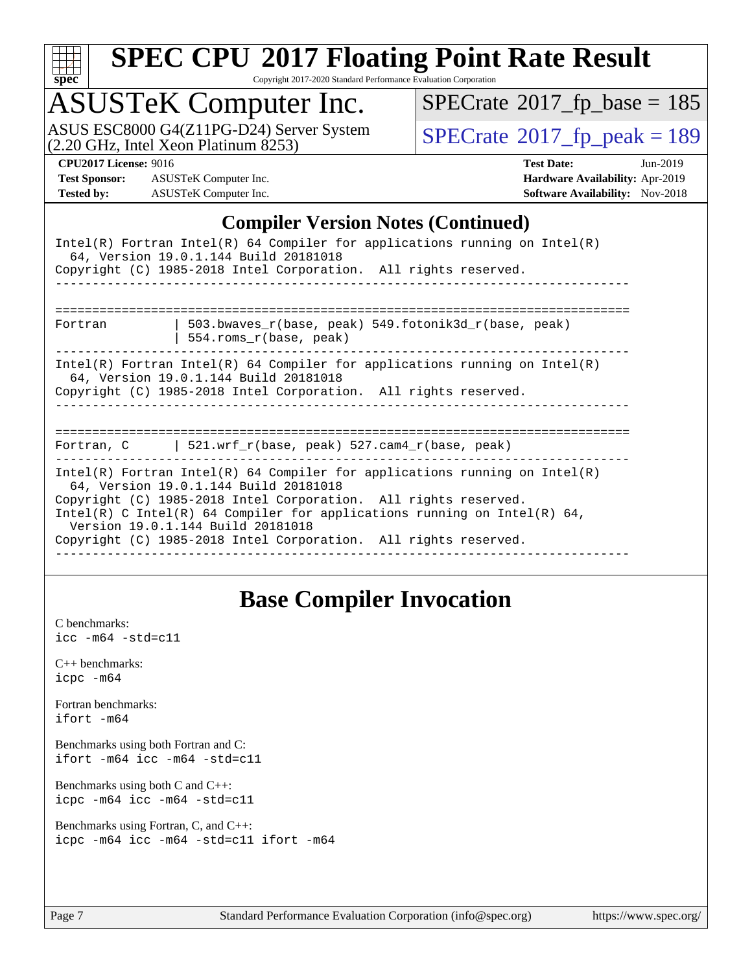

Copyright 2017-2020 Standard Performance Evaluation Corporation

# ASUSTeK Computer Inc.<br>ASUS ESC8000 G4(Z11PG-D24) Server System

(2.20 GHz, Intel Xeon Platinum 8253)

 $SPECrate$ <sup>®</sup>[2017\\_fp\\_base =](http://www.spec.org/auto/cpu2017/Docs/result-fields.html#SPECrate2017fpbase) 185

 $SPECTate@2017_fp\_peak = 189$ 

**[Test Sponsor:](http://www.spec.org/auto/cpu2017/Docs/result-fields.html#TestSponsor)** ASUSTeK Computer Inc. **[Hardware Availability:](http://www.spec.org/auto/cpu2017/Docs/result-fields.html#HardwareAvailability)** Apr-2019 **[Tested by:](http://www.spec.org/auto/cpu2017/Docs/result-fields.html#Testedby)** ASUSTeK Computer Inc. **[Software Availability:](http://www.spec.org/auto/cpu2017/Docs/result-fields.html#SoftwareAvailability)** Nov-2018

**[CPU2017 License:](http://www.spec.org/auto/cpu2017/Docs/result-fields.html#CPU2017License)** 9016 **[Test Date:](http://www.spec.org/auto/cpu2017/Docs/result-fields.html#TestDate)** Jun-2019

#### **[Compiler Version Notes \(Continued\)](http://www.spec.org/auto/cpu2017/Docs/result-fields.html#CompilerVersionNotes)**

|                                                                                                                                                                                                                                                                                                                                                                            | Intel(R) Fortran Intel(R) 64 Compiler for applications running on Intel(R)<br>64, Version 19.0.1.144 Build 20181018<br>Copyright (C) 1985-2018 Intel Corporation. All rights reserved. |  |  |  |  |  |  |
|----------------------------------------------------------------------------------------------------------------------------------------------------------------------------------------------------------------------------------------------------------------------------------------------------------------------------------------------------------------------------|----------------------------------------------------------------------------------------------------------------------------------------------------------------------------------------|--|--|--|--|--|--|
|                                                                                                                                                                                                                                                                                                                                                                            |                                                                                                                                                                                        |  |  |  |  |  |  |
| Fortran                                                                                                                                                                                                                                                                                                                                                                    | 503.bwaves $r(base, peak)$ 549.fotonik3d $r(base, peak)$<br>554.roms_r(base, peak)                                                                                                     |  |  |  |  |  |  |
| $Intel(R)$ Fortran Intel(R) 64 Compiler for applications running on Intel(R)<br>64, Version 19.0.1.144 Build 20181018<br>Copyright (C) 1985-2018 Intel Corporation. All rights reserved.                                                                                                                                                                                   |                                                                                                                                                                                        |  |  |  |  |  |  |
|                                                                                                                                                                                                                                                                                                                                                                            |                                                                                                                                                                                        |  |  |  |  |  |  |
|                                                                                                                                                                                                                                                                                                                                                                            | Fortran, C   521.wrf_r(base, peak) 527.cam4_r(base, peak)                                                                                                                              |  |  |  |  |  |  |
| Intel(R) Fortran Intel(R) 64 Compiler for applications running on Intel(R)<br>64, Version 19.0.1.144 Build 20181018<br>Copyright (C) 1985-2018 Intel Corporation. All rights reserved.<br>Intel(R) C Intel(R) 64 Compiler for applications running on Intel(R) 64,<br>Version 19.0.1.144 Build 20181018<br>Copyright (C) 1985-2018 Intel Corporation. All rights reserved. |                                                                                                                                                                                        |  |  |  |  |  |  |

#### **[Base Compiler Invocation](http://www.spec.org/auto/cpu2017/Docs/result-fields.html#BaseCompilerInvocation)**

[C benchmarks](http://www.spec.org/auto/cpu2017/Docs/result-fields.html#Cbenchmarks): [icc -m64 -std=c11](http://www.spec.org/cpu2017/results/res2019q3/cpu2017-20190625-15870.flags.html#user_CCbase_intel_icc_64bit_c11_33ee0cdaae7deeeab2a9725423ba97205ce30f63b9926c2519791662299b76a0318f32ddfffdc46587804de3178b4f9328c46fa7c2b0cd779d7a61945c91cd35)

[C++ benchmarks:](http://www.spec.org/auto/cpu2017/Docs/result-fields.html#CXXbenchmarks) [icpc -m64](http://www.spec.org/cpu2017/results/res2019q3/cpu2017-20190625-15870.flags.html#user_CXXbase_intel_icpc_64bit_4ecb2543ae3f1412ef961e0650ca070fec7b7afdcd6ed48761b84423119d1bf6bdf5cad15b44d48e7256388bc77273b966e5eb805aefd121eb22e9299b2ec9d9)

[Fortran benchmarks](http://www.spec.org/auto/cpu2017/Docs/result-fields.html#Fortranbenchmarks): [ifort -m64](http://www.spec.org/cpu2017/results/res2019q3/cpu2017-20190625-15870.flags.html#user_FCbase_intel_ifort_64bit_24f2bb282fbaeffd6157abe4f878425411749daecae9a33200eee2bee2fe76f3b89351d69a8130dd5949958ce389cf37ff59a95e7a40d588e8d3a57e0c3fd751)

[Benchmarks using both Fortran and C](http://www.spec.org/auto/cpu2017/Docs/result-fields.html#BenchmarksusingbothFortranandC): [ifort -m64](http://www.spec.org/cpu2017/results/res2019q3/cpu2017-20190625-15870.flags.html#user_CC_FCbase_intel_ifort_64bit_24f2bb282fbaeffd6157abe4f878425411749daecae9a33200eee2bee2fe76f3b89351d69a8130dd5949958ce389cf37ff59a95e7a40d588e8d3a57e0c3fd751) [icc -m64 -std=c11](http://www.spec.org/cpu2017/results/res2019q3/cpu2017-20190625-15870.flags.html#user_CC_FCbase_intel_icc_64bit_c11_33ee0cdaae7deeeab2a9725423ba97205ce30f63b9926c2519791662299b76a0318f32ddfffdc46587804de3178b4f9328c46fa7c2b0cd779d7a61945c91cd35)

[Benchmarks using both C and C++](http://www.spec.org/auto/cpu2017/Docs/result-fields.html#BenchmarksusingbothCandCXX): [icpc -m64](http://www.spec.org/cpu2017/results/res2019q3/cpu2017-20190625-15870.flags.html#user_CC_CXXbase_intel_icpc_64bit_4ecb2543ae3f1412ef961e0650ca070fec7b7afdcd6ed48761b84423119d1bf6bdf5cad15b44d48e7256388bc77273b966e5eb805aefd121eb22e9299b2ec9d9) [icc -m64 -std=c11](http://www.spec.org/cpu2017/results/res2019q3/cpu2017-20190625-15870.flags.html#user_CC_CXXbase_intel_icc_64bit_c11_33ee0cdaae7deeeab2a9725423ba97205ce30f63b9926c2519791662299b76a0318f32ddfffdc46587804de3178b4f9328c46fa7c2b0cd779d7a61945c91cd35)

[Benchmarks using Fortran, C, and C++:](http://www.spec.org/auto/cpu2017/Docs/result-fields.html#BenchmarksusingFortranCandCXX) [icpc -m64](http://www.spec.org/cpu2017/results/res2019q3/cpu2017-20190625-15870.flags.html#user_CC_CXX_FCbase_intel_icpc_64bit_4ecb2543ae3f1412ef961e0650ca070fec7b7afdcd6ed48761b84423119d1bf6bdf5cad15b44d48e7256388bc77273b966e5eb805aefd121eb22e9299b2ec9d9) [icc -m64 -std=c11](http://www.spec.org/cpu2017/results/res2019q3/cpu2017-20190625-15870.flags.html#user_CC_CXX_FCbase_intel_icc_64bit_c11_33ee0cdaae7deeeab2a9725423ba97205ce30f63b9926c2519791662299b76a0318f32ddfffdc46587804de3178b4f9328c46fa7c2b0cd779d7a61945c91cd35) [ifort -m64](http://www.spec.org/cpu2017/results/res2019q3/cpu2017-20190625-15870.flags.html#user_CC_CXX_FCbase_intel_ifort_64bit_24f2bb282fbaeffd6157abe4f878425411749daecae9a33200eee2bee2fe76f3b89351d69a8130dd5949958ce389cf37ff59a95e7a40d588e8d3a57e0c3fd751)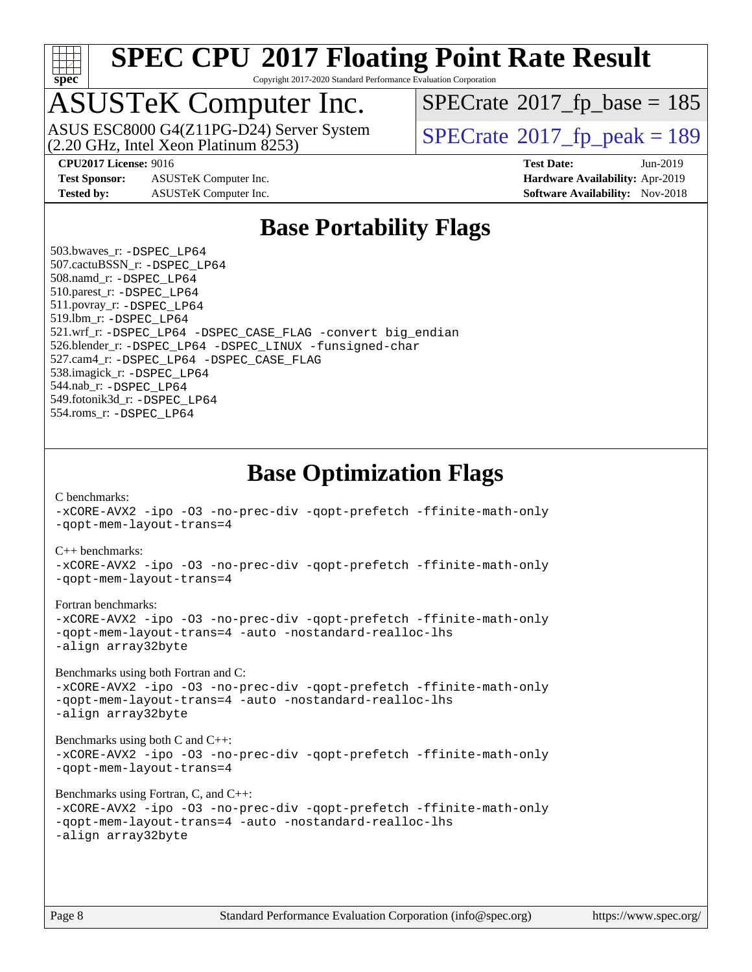

Copyright 2017-2020 Standard Performance Evaluation Corporation

## ASUSTeK Computer Inc.

(2.20 GHz, Intel Xeon Platinum 8253) ASUS ESC8000 G4(Z11PG-D24) Server System  $\vert$  [SPECrate](http://www.spec.org/auto/cpu2017/Docs/result-fields.html#SPECrate2017fppeak)®[2017\\_fp\\_peak = 1](http://www.spec.org/auto/cpu2017/Docs/result-fields.html#SPECrate2017fppeak)89

 $SPECTate$ <sup>®</sup>[2017\\_fp\\_base =](http://www.spec.org/auto/cpu2017/Docs/result-fields.html#SPECrate2017fpbase) 185

**[Test Sponsor:](http://www.spec.org/auto/cpu2017/Docs/result-fields.html#TestSponsor)** ASUSTeK Computer Inc. **[Hardware Availability:](http://www.spec.org/auto/cpu2017/Docs/result-fields.html#HardwareAvailability)** Apr-2019 **[Tested by:](http://www.spec.org/auto/cpu2017/Docs/result-fields.html#Testedby)** ASUSTeK Computer Inc. **[Software Availability:](http://www.spec.org/auto/cpu2017/Docs/result-fields.html#SoftwareAvailability)** Nov-2018

**[CPU2017 License:](http://www.spec.org/auto/cpu2017/Docs/result-fields.html#CPU2017License)** 9016 **[Test Date:](http://www.spec.org/auto/cpu2017/Docs/result-fields.html#TestDate)** Jun-2019

#### **[Base Portability Flags](http://www.spec.org/auto/cpu2017/Docs/result-fields.html#BasePortabilityFlags)**

 503.bwaves\_r: [-DSPEC\\_LP64](http://www.spec.org/cpu2017/results/res2019q3/cpu2017-20190625-15870.flags.html#suite_basePORTABILITY503_bwaves_r_DSPEC_LP64) 507.cactuBSSN\_r: [-DSPEC\\_LP64](http://www.spec.org/cpu2017/results/res2019q3/cpu2017-20190625-15870.flags.html#suite_basePORTABILITY507_cactuBSSN_r_DSPEC_LP64) 508.namd\_r: [-DSPEC\\_LP64](http://www.spec.org/cpu2017/results/res2019q3/cpu2017-20190625-15870.flags.html#suite_basePORTABILITY508_namd_r_DSPEC_LP64) 510.parest\_r: [-DSPEC\\_LP64](http://www.spec.org/cpu2017/results/res2019q3/cpu2017-20190625-15870.flags.html#suite_basePORTABILITY510_parest_r_DSPEC_LP64) 511.povray\_r: [-DSPEC\\_LP64](http://www.spec.org/cpu2017/results/res2019q3/cpu2017-20190625-15870.flags.html#suite_basePORTABILITY511_povray_r_DSPEC_LP64) 519.lbm\_r: [-DSPEC\\_LP64](http://www.spec.org/cpu2017/results/res2019q3/cpu2017-20190625-15870.flags.html#suite_basePORTABILITY519_lbm_r_DSPEC_LP64) 521.wrf\_r: [-DSPEC\\_LP64](http://www.spec.org/cpu2017/results/res2019q3/cpu2017-20190625-15870.flags.html#suite_basePORTABILITY521_wrf_r_DSPEC_LP64) [-DSPEC\\_CASE\\_FLAG](http://www.spec.org/cpu2017/results/res2019q3/cpu2017-20190625-15870.flags.html#b521.wrf_r_baseCPORTABILITY_DSPEC_CASE_FLAG) [-convert big\\_endian](http://www.spec.org/cpu2017/results/res2019q3/cpu2017-20190625-15870.flags.html#user_baseFPORTABILITY521_wrf_r_convert_big_endian_c3194028bc08c63ac5d04de18c48ce6d347e4e562e8892b8bdbdc0214820426deb8554edfa529a3fb25a586e65a3d812c835984020483e7e73212c4d31a38223) 526.blender\_r: [-DSPEC\\_LP64](http://www.spec.org/cpu2017/results/res2019q3/cpu2017-20190625-15870.flags.html#suite_basePORTABILITY526_blender_r_DSPEC_LP64) [-DSPEC\\_LINUX](http://www.spec.org/cpu2017/results/res2019q3/cpu2017-20190625-15870.flags.html#b526.blender_r_baseCPORTABILITY_DSPEC_LINUX) [-funsigned-char](http://www.spec.org/cpu2017/results/res2019q3/cpu2017-20190625-15870.flags.html#user_baseCPORTABILITY526_blender_r_force_uchar_40c60f00ab013830e2dd6774aeded3ff59883ba5a1fc5fc14077f794d777847726e2a5858cbc7672e36e1b067e7e5c1d9a74f7176df07886a243d7cc18edfe67) 527.cam4\_r: [-DSPEC\\_LP64](http://www.spec.org/cpu2017/results/res2019q3/cpu2017-20190625-15870.flags.html#suite_basePORTABILITY527_cam4_r_DSPEC_LP64) [-DSPEC\\_CASE\\_FLAG](http://www.spec.org/cpu2017/results/res2019q3/cpu2017-20190625-15870.flags.html#b527.cam4_r_baseCPORTABILITY_DSPEC_CASE_FLAG) 538.imagick\_r: [-DSPEC\\_LP64](http://www.spec.org/cpu2017/results/res2019q3/cpu2017-20190625-15870.flags.html#suite_basePORTABILITY538_imagick_r_DSPEC_LP64) 544.nab\_r: [-DSPEC\\_LP64](http://www.spec.org/cpu2017/results/res2019q3/cpu2017-20190625-15870.flags.html#suite_basePORTABILITY544_nab_r_DSPEC_LP64) 549.fotonik3d\_r: [-DSPEC\\_LP64](http://www.spec.org/cpu2017/results/res2019q3/cpu2017-20190625-15870.flags.html#suite_basePORTABILITY549_fotonik3d_r_DSPEC_LP64) 554.roms\_r: [-DSPEC\\_LP64](http://www.spec.org/cpu2017/results/res2019q3/cpu2017-20190625-15870.flags.html#suite_basePORTABILITY554_roms_r_DSPEC_LP64)

**[Base Optimization Flags](http://www.spec.org/auto/cpu2017/Docs/result-fields.html#BaseOptimizationFlags)**

[C benchmarks](http://www.spec.org/auto/cpu2017/Docs/result-fields.html#Cbenchmarks):

[-xCORE-AVX2](http://www.spec.org/cpu2017/results/res2019q3/cpu2017-20190625-15870.flags.html#user_CCbase_f-xCORE-AVX2) [-ipo](http://www.spec.org/cpu2017/results/res2019q3/cpu2017-20190625-15870.flags.html#user_CCbase_f-ipo) [-O3](http://www.spec.org/cpu2017/results/res2019q3/cpu2017-20190625-15870.flags.html#user_CCbase_f-O3) [-no-prec-div](http://www.spec.org/cpu2017/results/res2019q3/cpu2017-20190625-15870.flags.html#user_CCbase_f-no-prec-div) [-qopt-prefetch](http://www.spec.org/cpu2017/results/res2019q3/cpu2017-20190625-15870.flags.html#user_CCbase_f-qopt-prefetch) [-ffinite-math-only](http://www.spec.org/cpu2017/results/res2019q3/cpu2017-20190625-15870.flags.html#user_CCbase_f_finite_math_only_cb91587bd2077682c4b38af759c288ed7c732db004271a9512da14a4f8007909a5f1427ecbf1a0fb78ff2a814402c6114ac565ca162485bbcae155b5e4258871) [-qopt-mem-layout-trans=4](http://www.spec.org/cpu2017/results/res2019q3/cpu2017-20190625-15870.flags.html#user_CCbase_f-qopt-mem-layout-trans_fa39e755916c150a61361b7846f310bcdf6f04e385ef281cadf3647acec3f0ae266d1a1d22d972a7087a248fd4e6ca390a3634700869573d231a252c784941a8) [C++ benchmarks:](http://www.spec.org/auto/cpu2017/Docs/result-fields.html#CXXbenchmarks) [-xCORE-AVX2](http://www.spec.org/cpu2017/results/res2019q3/cpu2017-20190625-15870.flags.html#user_CXXbase_f-xCORE-AVX2) [-ipo](http://www.spec.org/cpu2017/results/res2019q3/cpu2017-20190625-15870.flags.html#user_CXXbase_f-ipo) [-O3](http://www.spec.org/cpu2017/results/res2019q3/cpu2017-20190625-15870.flags.html#user_CXXbase_f-O3) [-no-prec-div](http://www.spec.org/cpu2017/results/res2019q3/cpu2017-20190625-15870.flags.html#user_CXXbase_f-no-prec-div) [-qopt-prefetch](http://www.spec.org/cpu2017/results/res2019q3/cpu2017-20190625-15870.flags.html#user_CXXbase_f-qopt-prefetch) [-ffinite-math-only](http://www.spec.org/cpu2017/results/res2019q3/cpu2017-20190625-15870.flags.html#user_CXXbase_f_finite_math_only_cb91587bd2077682c4b38af759c288ed7c732db004271a9512da14a4f8007909a5f1427ecbf1a0fb78ff2a814402c6114ac565ca162485bbcae155b5e4258871) [-qopt-mem-layout-trans=4](http://www.spec.org/cpu2017/results/res2019q3/cpu2017-20190625-15870.flags.html#user_CXXbase_f-qopt-mem-layout-trans_fa39e755916c150a61361b7846f310bcdf6f04e385ef281cadf3647acec3f0ae266d1a1d22d972a7087a248fd4e6ca390a3634700869573d231a252c784941a8) [Fortran benchmarks](http://www.spec.org/auto/cpu2017/Docs/result-fields.html#Fortranbenchmarks): [-xCORE-AVX2](http://www.spec.org/cpu2017/results/res2019q3/cpu2017-20190625-15870.flags.html#user_FCbase_f-xCORE-AVX2) [-ipo](http://www.spec.org/cpu2017/results/res2019q3/cpu2017-20190625-15870.flags.html#user_FCbase_f-ipo) [-O3](http://www.spec.org/cpu2017/results/res2019q3/cpu2017-20190625-15870.flags.html#user_FCbase_f-O3) [-no-prec-div](http://www.spec.org/cpu2017/results/res2019q3/cpu2017-20190625-15870.flags.html#user_FCbase_f-no-prec-div) [-qopt-prefetch](http://www.spec.org/cpu2017/results/res2019q3/cpu2017-20190625-15870.flags.html#user_FCbase_f-qopt-prefetch) [-ffinite-math-only](http://www.spec.org/cpu2017/results/res2019q3/cpu2017-20190625-15870.flags.html#user_FCbase_f_finite_math_only_cb91587bd2077682c4b38af759c288ed7c732db004271a9512da14a4f8007909a5f1427ecbf1a0fb78ff2a814402c6114ac565ca162485bbcae155b5e4258871) [-qopt-mem-layout-trans=4](http://www.spec.org/cpu2017/results/res2019q3/cpu2017-20190625-15870.flags.html#user_FCbase_f-qopt-mem-layout-trans_fa39e755916c150a61361b7846f310bcdf6f04e385ef281cadf3647acec3f0ae266d1a1d22d972a7087a248fd4e6ca390a3634700869573d231a252c784941a8) [-auto](http://www.spec.org/cpu2017/results/res2019q3/cpu2017-20190625-15870.flags.html#user_FCbase_f-auto) [-nostandard-realloc-lhs](http://www.spec.org/cpu2017/results/res2019q3/cpu2017-20190625-15870.flags.html#user_FCbase_f_2003_std_realloc_82b4557e90729c0f113870c07e44d33d6f5a304b4f63d4c15d2d0f1fab99f5daaed73bdb9275d9ae411527f28b936061aa8b9c8f2d63842963b95c9dd6426b8a) [-align array32byte](http://www.spec.org/cpu2017/results/res2019q3/cpu2017-20190625-15870.flags.html#user_FCbase_align_array32byte_b982fe038af199962ba9a80c053b8342c548c85b40b8e86eb3cc33dee0d7986a4af373ac2d51c3f7cf710a18d62fdce2948f201cd044323541f22fc0fffc51b6) [Benchmarks using both Fortran and C](http://www.spec.org/auto/cpu2017/Docs/result-fields.html#BenchmarksusingbothFortranandC): [-xCORE-AVX2](http://www.spec.org/cpu2017/results/res2019q3/cpu2017-20190625-15870.flags.html#user_CC_FCbase_f-xCORE-AVX2) [-ipo](http://www.spec.org/cpu2017/results/res2019q3/cpu2017-20190625-15870.flags.html#user_CC_FCbase_f-ipo) [-O3](http://www.spec.org/cpu2017/results/res2019q3/cpu2017-20190625-15870.flags.html#user_CC_FCbase_f-O3) [-no-prec-div](http://www.spec.org/cpu2017/results/res2019q3/cpu2017-20190625-15870.flags.html#user_CC_FCbase_f-no-prec-div) [-qopt-prefetch](http://www.spec.org/cpu2017/results/res2019q3/cpu2017-20190625-15870.flags.html#user_CC_FCbase_f-qopt-prefetch) [-ffinite-math-only](http://www.spec.org/cpu2017/results/res2019q3/cpu2017-20190625-15870.flags.html#user_CC_FCbase_f_finite_math_only_cb91587bd2077682c4b38af759c288ed7c732db004271a9512da14a4f8007909a5f1427ecbf1a0fb78ff2a814402c6114ac565ca162485bbcae155b5e4258871) [-qopt-mem-layout-trans=4](http://www.spec.org/cpu2017/results/res2019q3/cpu2017-20190625-15870.flags.html#user_CC_FCbase_f-qopt-mem-layout-trans_fa39e755916c150a61361b7846f310bcdf6f04e385ef281cadf3647acec3f0ae266d1a1d22d972a7087a248fd4e6ca390a3634700869573d231a252c784941a8) [-auto](http://www.spec.org/cpu2017/results/res2019q3/cpu2017-20190625-15870.flags.html#user_CC_FCbase_f-auto) [-nostandard-realloc-lhs](http://www.spec.org/cpu2017/results/res2019q3/cpu2017-20190625-15870.flags.html#user_CC_FCbase_f_2003_std_realloc_82b4557e90729c0f113870c07e44d33d6f5a304b4f63d4c15d2d0f1fab99f5daaed73bdb9275d9ae411527f28b936061aa8b9c8f2d63842963b95c9dd6426b8a) [-align array32byte](http://www.spec.org/cpu2017/results/res2019q3/cpu2017-20190625-15870.flags.html#user_CC_FCbase_align_array32byte_b982fe038af199962ba9a80c053b8342c548c85b40b8e86eb3cc33dee0d7986a4af373ac2d51c3f7cf710a18d62fdce2948f201cd044323541f22fc0fffc51b6) [Benchmarks using both C and C++](http://www.spec.org/auto/cpu2017/Docs/result-fields.html#BenchmarksusingbothCandCXX): [-xCORE-AVX2](http://www.spec.org/cpu2017/results/res2019q3/cpu2017-20190625-15870.flags.html#user_CC_CXXbase_f-xCORE-AVX2) [-ipo](http://www.spec.org/cpu2017/results/res2019q3/cpu2017-20190625-15870.flags.html#user_CC_CXXbase_f-ipo) [-O3](http://www.spec.org/cpu2017/results/res2019q3/cpu2017-20190625-15870.flags.html#user_CC_CXXbase_f-O3) [-no-prec-div](http://www.spec.org/cpu2017/results/res2019q3/cpu2017-20190625-15870.flags.html#user_CC_CXXbase_f-no-prec-div) [-qopt-prefetch](http://www.spec.org/cpu2017/results/res2019q3/cpu2017-20190625-15870.flags.html#user_CC_CXXbase_f-qopt-prefetch) [-ffinite-math-only](http://www.spec.org/cpu2017/results/res2019q3/cpu2017-20190625-15870.flags.html#user_CC_CXXbase_f_finite_math_only_cb91587bd2077682c4b38af759c288ed7c732db004271a9512da14a4f8007909a5f1427ecbf1a0fb78ff2a814402c6114ac565ca162485bbcae155b5e4258871) [-qopt-mem-layout-trans=4](http://www.spec.org/cpu2017/results/res2019q3/cpu2017-20190625-15870.flags.html#user_CC_CXXbase_f-qopt-mem-layout-trans_fa39e755916c150a61361b7846f310bcdf6f04e385ef281cadf3647acec3f0ae266d1a1d22d972a7087a248fd4e6ca390a3634700869573d231a252c784941a8) [Benchmarks using Fortran, C, and C++:](http://www.spec.org/auto/cpu2017/Docs/result-fields.html#BenchmarksusingFortranCandCXX) [-xCORE-AVX2](http://www.spec.org/cpu2017/results/res2019q3/cpu2017-20190625-15870.flags.html#user_CC_CXX_FCbase_f-xCORE-AVX2) [-ipo](http://www.spec.org/cpu2017/results/res2019q3/cpu2017-20190625-15870.flags.html#user_CC_CXX_FCbase_f-ipo) [-O3](http://www.spec.org/cpu2017/results/res2019q3/cpu2017-20190625-15870.flags.html#user_CC_CXX_FCbase_f-O3) [-no-prec-div](http://www.spec.org/cpu2017/results/res2019q3/cpu2017-20190625-15870.flags.html#user_CC_CXX_FCbase_f-no-prec-div) [-qopt-prefetch](http://www.spec.org/cpu2017/results/res2019q3/cpu2017-20190625-15870.flags.html#user_CC_CXX_FCbase_f-qopt-prefetch) [-ffinite-math-only](http://www.spec.org/cpu2017/results/res2019q3/cpu2017-20190625-15870.flags.html#user_CC_CXX_FCbase_f_finite_math_only_cb91587bd2077682c4b38af759c288ed7c732db004271a9512da14a4f8007909a5f1427ecbf1a0fb78ff2a814402c6114ac565ca162485bbcae155b5e4258871) [-qopt-mem-layout-trans=4](http://www.spec.org/cpu2017/results/res2019q3/cpu2017-20190625-15870.flags.html#user_CC_CXX_FCbase_f-qopt-mem-layout-trans_fa39e755916c150a61361b7846f310bcdf6f04e385ef281cadf3647acec3f0ae266d1a1d22d972a7087a248fd4e6ca390a3634700869573d231a252c784941a8) [-auto](http://www.spec.org/cpu2017/results/res2019q3/cpu2017-20190625-15870.flags.html#user_CC_CXX_FCbase_f-auto) [-nostandard-realloc-lhs](http://www.spec.org/cpu2017/results/res2019q3/cpu2017-20190625-15870.flags.html#user_CC_CXX_FCbase_f_2003_std_realloc_82b4557e90729c0f113870c07e44d33d6f5a304b4f63d4c15d2d0f1fab99f5daaed73bdb9275d9ae411527f28b936061aa8b9c8f2d63842963b95c9dd6426b8a) [-align array32byte](http://www.spec.org/cpu2017/results/res2019q3/cpu2017-20190625-15870.flags.html#user_CC_CXX_FCbase_align_array32byte_b982fe038af199962ba9a80c053b8342c548c85b40b8e86eb3cc33dee0d7986a4af373ac2d51c3f7cf710a18d62fdce2948f201cd044323541f22fc0fffc51b6)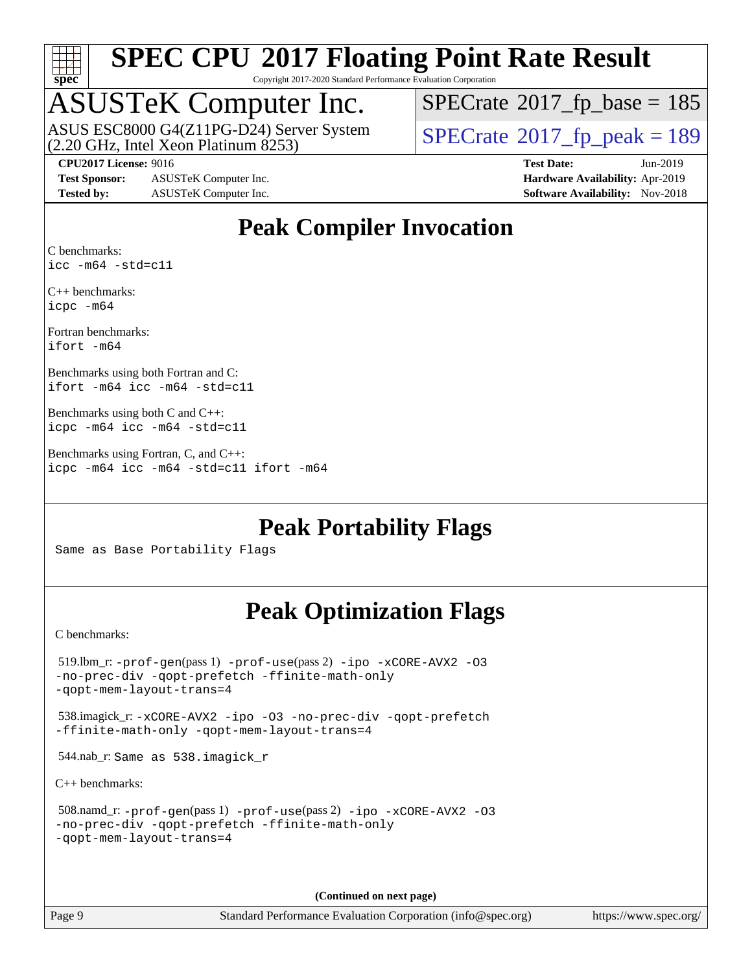

Copyright 2017-2020 Standard Performance Evaluation Corporation

### ASUSTeK Computer Inc.

(2.20 GHz, Intel Xeon Platinum 8253) ASUS ESC8000 G4(Z11PG-D24) Server System  $\vert$  [SPECrate](http://www.spec.org/auto/cpu2017/Docs/result-fields.html#SPECrate2017fppeak)®[2017\\_fp\\_peak = 1](http://www.spec.org/auto/cpu2017/Docs/result-fields.html#SPECrate2017fppeak)89

 $SPECTate$ <sup>®</sup>[2017\\_fp\\_base =](http://www.spec.org/auto/cpu2017/Docs/result-fields.html#SPECrate2017fpbase) 185

**[Test Sponsor:](http://www.spec.org/auto/cpu2017/Docs/result-fields.html#TestSponsor)** ASUSTeK Computer Inc. **[Hardware Availability:](http://www.spec.org/auto/cpu2017/Docs/result-fields.html#HardwareAvailability)** Apr-2019 **[Tested by:](http://www.spec.org/auto/cpu2017/Docs/result-fields.html#Testedby)** ASUSTeK Computer Inc. **[Software Availability:](http://www.spec.org/auto/cpu2017/Docs/result-fields.html#SoftwareAvailability)** Nov-2018

**[CPU2017 License:](http://www.spec.org/auto/cpu2017/Docs/result-fields.html#CPU2017License)** 9016 **[Test Date:](http://www.spec.org/auto/cpu2017/Docs/result-fields.html#TestDate)** Jun-2019

#### **[Peak Compiler Invocation](http://www.spec.org/auto/cpu2017/Docs/result-fields.html#PeakCompilerInvocation)**

[C benchmarks](http://www.spec.org/auto/cpu2017/Docs/result-fields.html#Cbenchmarks): [icc -m64 -std=c11](http://www.spec.org/cpu2017/results/res2019q3/cpu2017-20190625-15870.flags.html#user_CCpeak_intel_icc_64bit_c11_33ee0cdaae7deeeab2a9725423ba97205ce30f63b9926c2519791662299b76a0318f32ddfffdc46587804de3178b4f9328c46fa7c2b0cd779d7a61945c91cd35)

[C++ benchmarks:](http://www.spec.org/auto/cpu2017/Docs/result-fields.html#CXXbenchmarks) [icpc -m64](http://www.spec.org/cpu2017/results/res2019q3/cpu2017-20190625-15870.flags.html#user_CXXpeak_intel_icpc_64bit_4ecb2543ae3f1412ef961e0650ca070fec7b7afdcd6ed48761b84423119d1bf6bdf5cad15b44d48e7256388bc77273b966e5eb805aefd121eb22e9299b2ec9d9)

[Fortran benchmarks](http://www.spec.org/auto/cpu2017/Docs/result-fields.html#Fortranbenchmarks): [ifort -m64](http://www.spec.org/cpu2017/results/res2019q3/cpu2017-20190625-15870.flags.html#user_FCpeak_intel_ifort_64bit_24f2bb282fbaeffd6157abe4f878425411749daecae9a33200eee2bee2fe76f3b89351d69a8130dd5949958ce389cf37ff59a95e7a40d588e8d3a57e0c3fd751)

[Benchmarks using both Fortran and C](http://www.spec.org/auto/cpu2017/Docs/result-fields.html#BenchmarksusingbothFortranandC): [ifort -m64](http://www.spec.org/cpu2017/results/res2019q3/cpu2017-20190625-15870.flags.html#user_CC_FCpeak_intel_ifort_64bit_24f2bb282fbaeffd6157abe4f878425411749daecae9a33200eee2bee2fe76f3b89351d69a8130dd5949958ce389cf37ff59a95e7a40d588e8d3a57e0c3fd751) [icc -m64 -std=c11](http://www.spec.org/cpu2017/results/res2019q3/cpu2017-20190625-15870.flags.html#user_CC_FCpeak_intel_icc_64bit_c11_33ee0cdaae7deeeab2a9725423ba97205ce30f63b9926c2519791662299b76a0318f32ddfffdc46587804de3178b4f9328c46fa7c2b0cd779d7a61945c91cd35)

```
Benchmarks using both C and C++: 
icpc -m64 icc -m64 -std=c11
```
[Benchmarks using Fortran, C, and C++:](http://www.spec.org/auto/cpu2017/Docs/result-fields.html#BenchmarksusingFortranCandCXX) [icpc -m64](http://www.spec.org/cpu2017/results/res2019q3/cpu2017-20190625-15870.flags.html#user_CC_CXX_FCpeak_intel_icpc_64bit_4ecb2543ae3f1412ef961e0650ca070fec7b7afdcd6ed48761b84423119d1bf6bdf5cad15b44d48e7256388bc77273b966e5eb805aefd121eb22e9299b2ec9d9) [icc -m64 -std=c11](http://www.spec.org/cpu2017/results/res2019q3/cpu2017-20190625-15870.flags.html#user_CC_CXX_FCpeak_intel_icc_64bit_c11_33ee0cdaae7deeeab2a9725423ba97205ce30f63b9926c2519791662299b76a0318f32ddfffdc46587804de3178b4f9328c46fa7c2b0cd779d7a61945c91cd35) [ifort -m64](http://www.spec.org/cpu2017/results/res2019q3/cpu2017-20190625-15870.flags.html#user_CC_CXX_FCpeak_intel_ifort_64bit_24f2bb282fbaeffd6157abe4f878425411749daecae9a33200eee2bee2fe76f3b89351d69a8130dd5949958ce389cf37ff59a95e7a40d588e8d3a57e0c3fd751)

**[Peak Portability Flags](http://www.spec.org/auto/cpu2017/Docs/result-fields.html#PeakPortabilityFlags)**

Same as Base Portability Flags

#### **[Peak Optimization Flags](http://www.spec.org/auto/cpu2017/Docs/result-fields.html#PeakOptimizationFlags)**

[C benchmarks](http://www.spec.org/auto/cpu2017/Docs/result-fields.html#Cbenchmarks):

```
 519.lbm_r: -prof-gen(pass 1) -prof-use(pass 2) -ipo -xCORE-AVX2 -O3
-no-prec-div -qopt-prefetch -ffinite-math-only
-qopt-mem-layout-trans=4
 538.imagick_r: -xCORE-AVX2 -ipo -O3 -no-prec-div -qopt-prefetch
-ffinite-math-only -qopt-mem-layout-trans=4
 544.nab_r: Same as 538.imagick_r
C++ benchmarks: 
 508.namd_r: -prof-gen(pass 1) -prof-use(pass 2) -ipo -xCORE-AVX2 -O3
-no-prec-div -qopt-prefetch -ffinite-math-only
-qopt-mem-layout-trans=4
```
**(Continued on next page)**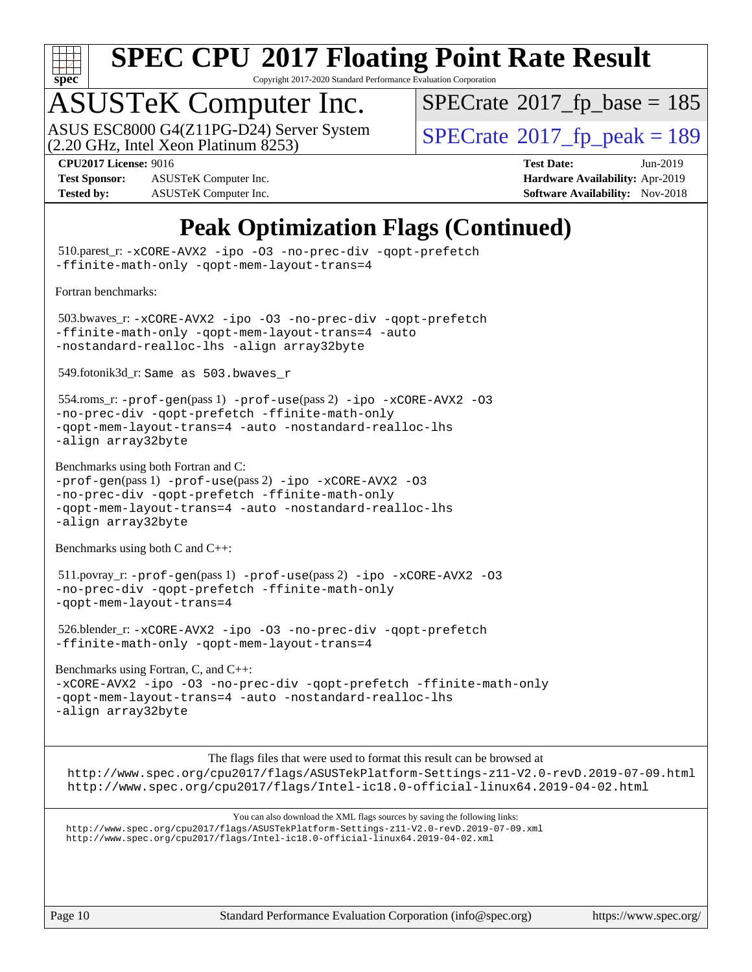

Copyright 2017-2020 Standard Performance Evaluation Corporation

## ASUSTeK Computer Inc.

ASUS ESC8000 G4(Z11PG-D24) Server System<br>(2.20 GHz, Intel Xeon Platinum 8253)

 $SPECTate$ <sup>®</sup>[2017\\_fp\\_base =](http://www.spec.org/auto/cpu2017/Docs/result-fields.html#SPECrate2017fpbase) 185

**[CPU2017 License:](http://www.spec.org/auto/cpu2017/Docs/result-fields.html#CPU2017License)** 9016 **[Test Date:](http://www.spec.org/auto/cpu2017/Docs/result-fields.html#TestDate)** Jun-2019

**[Test Sponsor:](http://www.spec.org/auto/cpu2017/Docs/result-fields.html#TestSponsor)** ASUSTeK Computer Inc. **[Hardware Availability:](http://www.spec.org/auto/cpu2017/Docs/result-fields.html#HardwareAvailability)** Apr-2019 **[Tested by:](http://www.spec.org/auto/cpu2017/Docs/result-fields.html#Testedby)** ASUSTeK Computer Inc. **[Software Availability:](http://www.spec.org/auto/cpu2017/Docs/result-fields.html#SoftwareAvailability)** Nov-2018

 $SPECTate<sup>®</sup>2017<sub>fr</sub>peak = 189$ 

#### **[Peak Optimization Flags \(Continued\)](http://www.spec.org/auto/cpu2017/Docs/result-fields.html#PeakOptimizationFlags)**

 510.parest\_r: [-xCORE-AVX2](http://www.spec.org/cpu2017/results/res2019q3/cpu2017-20190625-15870.flags.html#user_peakCXXOPTIMIZE510_parest_r_f-xCORE-AVX2) [-ipo](http://www.spec.org/cpu2017/results/res2019q3/cpu2017-20190625-15870.flags.html#user_peakCXXOPTIMIZE510_parest_r_f-ipo) [-O3](http://www.spec.org/cpu2017/results/res2019q3/cpu2017-20190625-15870.flags.html#user_peakCXXOPTIMIZE510_parest_r_f-O3) [-no-prec-div](http://www.spec.org/cpu2017/results/res2019q3/cpu2017-20190625-15870.flags.html#user_peakCXXOPTIMIZE510_parest_r_f-no-prec-div) [-qopt-prefetch](http://www.spec.org/cpu2017/results/res2019q3/cpu2017-20190625-15870.flags.html#user_peakCXXOPTIMIZE510_parest_r_f-qopt-prefetch) [-ffinite-math-only](http://www.spec.org/cpu2017/results/res2019q3/cpu2017-20190625-15870.flags.html#user_peakCXXOPTIMIZE510_parest_r_f_finite_math_only_cb91587bd2077682c4b38af759c288ed7c732db004271a9512da14a4f8007909a5f1427ecbf1a0fb78ff2a814402c6114ac565ca162485bbcae155b5e4258871) [-qopt-mem-layout-trans=4](http://www.spec.org/cpu2017/results/res2019q3/cpu2017-20190625-15870.flags.html#user_peakCXXOPTIMIZE510_parest_r_f-qopt-mem-layout-trans_fa39e755916c150a61361b7846f310bcdf6f04e385ef281cadf3647acec3f0ae266d1a1d22d972a7087a248fd4e6ca390a3634700869573d231a252c784941a8) [Fortran benchmarks](http://www.spec.org/auto/cpu2017/Docs/result-fields.html#Fortranbenchmarks): 503.bwaves\_r: [-xCORE-AVX2](http://www.spec.org/cpu2017/results/res2019q3/cpu2017-20190625-15870.flags.html#user_peakFOPTIMIZE503_bwaves_r_f-xCORE-AVX2) [-ipo](http://www.spec.org/cpu2017/results/res2019q3/cpu2017-20190625-15870.flags.html#user_peakFOPTIMIZE503_bwaves_r_f-ipo) [-O3](http://www.spec.org/cpu2017/results/res2019q3/cpu2017-20190625-15870.flags.html#user_peakFOPTIMIZE503_bwaves_r_f-O3) [-no-prec-div](http://www.spec.org/cpu2017/results/res2019q3/cpu2017-20190625-15870.flags.html#user_peakFOPTIMIZE503_bwaves_r_f-no-prec-div) [-qopt-prefetch](http://www.spec.org/cpu2017/results/res2019q3/cpu2017-20190625-15870.flags.html#user_peakFOPTIMIZE503_bwaves_r_f-qopt-prefetch) [-ffinite-math-only](http://www.spec.org/cpu2017/results/res2019q3/cpu2017-20190625-15870.flags.html#user_peakFOPTIMIZE503_bwaves_r_f_finite_math_only_cb91587bd2077682c4b38af759c288ed7c732db004271a9512da14a4f8007909a5f1427ecbf1a0fb78ff2a814402c6114ac565ca162485bbcae155b5e4258871) [-qopt-mem-layout-trans=4](http://www.spec.org/cpu2017/results/res2019q3/cpu2017-20190625-15870.flags.html#user_peakFOPTIMIZE503_bwaves_r_f-qopt-mem-layout-trans_fa39e755916c150a61361b7846f310bcdf6f04e385ef281cadf3647acec3f0ae266d1a1d22d972a7087a248fd4e6ca390a3634700869573d231a252c784941a8) [-auto](http://www.spec.org/cpu2017/results/res2019q3/cpu2017-20190625-15870.flags.html#user_peakFOPTIMIZE503_bwaves_r_f-auto) [-nostandard-realloc-lhs](http://www.spec.org/cpu2017/results/res2019q3/cpu2017-20190625-15870.flags.html#user_peakEXTRA_FOPTIMIZE503_bwaves_r_f_2003_std_realloc_82b4557e90729c0f113870c07e44d33d6f5a304b4f63d4c15d2d0f1fab99f5daaed73bdb9275d9ae411527f28b936061aa8b9c8f2d63842963b95c9dd6426b8a) [-align array32byte](http://www.spec.org/cpu2017/results/res2019q3/cpu2017-20190625-15870.flags.html#user_peakEXTRA_FOPTIMIZE503_bwaves_r_align_array32byte_b982fe038af199962ba9a80c053b8342c548c85b40b8e86eb3cc33dee0d7986a4af373ac2d51c3f7cf710a18d62fdce2948f201cd044323541f22fc0fffc51b6) 549.fotonik3d\_r: Same as 503.bwaves\_r 554.roms\_r: [-prof-gen](http://www.spec.org/cpu2017/results/res2019q3/cpu2017-20190625-15870.flags.html#user_peakPASS1_FFLAGSPASS1_LDFLAGS554_roms_r_prof_gen_5aa4926d6013ddb2a31985c654b3eb18169fc0c6952a63635c234f711e6e63dd76e94ad52365559451ec499a2cdb89e4dc58ba4c67ef54ca681ffbe1461d6b36)(pass 1) [-prof-use](http://www.spec.org/cpu2017/results/res2019q3/cpu2017-20190625-15870.flags.html#user_peakPASS2_FFLAGSPASS2_LDFLAGS554_roms_r_prof_use_1a21ceae95f36a2b53c25747139a6c16ca95bd9def2a207b4f0849963b97e94f5260e30a0c64f4bb623698870e679ca08317ef8150905d41bd88c6f78df73f19)(pass 2) [-ipo](http://www.spec.org/cpu2017/results/res2019q3/cpu2017-20190625-15870.flags.html#user_peakPASS1_FOPTIMIZEPASS2_FOPTIMIZE554_roms_r_f-ipo) [-xCORE-AVX2](http://www.spec.org/cpu2017/results/res2019q3/cpu2017-20190625-15870.flags.html#user_peakPASS2_FOPTIMIZE554_roms_r_f-xCORE-AVX2) [-O3](http://www.spec.org/cpu2017/results/res2019q3/cpu2017-20190625-15870.flags.html#user_peakPASS1_FOPTIMIZEPASS2_FOPTIMIZE554_roms_r_f-O3) [-no-prec-div](http://www.spec.org/cpu2017/results/res2019q3/cpu2017-20190625-15870.flags.html#user_peakPASS1_FOPTIMIZEPASS2_FOPTIMIZE554_roms_r_f-no-prec-div) [-qopt-prefetch](http://www.spec.org/cpu2017/results/res2019q3/cpu2017-20190625-15870.flags.html#user_peakPASS1_FOPTIMIZEPASS2_FOPTIMIZE554_roms_r_f-qopt-prefetch) [-ffinite-math-only](http://www.spec.org/cpu2017/results/res2019q3/cpu2017-20190625-15870.flags.html#user_peakPASS1_FOPTIMIZEPASS2_FOPTIMIZE554_roms_r_f_finite_math_only_cb91587bd2077682c4b38af759c288ed7c732db004271a9512da14a4f8007909a5f1427ecbf1a0fb78ff2a814402c6114ac565ca162485bbcae155b5e4258871) [-qopt-mem-layout-trans=4](http://www.spec.org/cpu2017/results/res2019q3/cpu2017-20190625-15870.flags.html#user_peakPASS1_FOPTIMIZEPASS2_FOPTIMIZE554_roms_r_f-qopt-mem-layout-trans_fa39e755916c150a61361b7846f310bcdf6f04e385ef281cadf3647acec3f0ae266d1a1d22d972a7087a248fd4e6ca390a3634700869573d231a252c784941a8) [-auto](http://www.spec.org/cpu2017/results/res2019q3/cpu2017-20190625-15870.flags.html#user_peakPASS2_FOPTIMIZE554_roms_r_f-auto) [-nostandard-realloc-lhs](http://www.spec.org/cpu2017/results/res2019q3/cpu2017-20190625-15870.flags.html#user_peakEXTRA_FOPTIMIZE554_roms_r_f_2003_std_realloc_82b4557e90729c0f113870c07e44d33d6f5a304b4f63d4c15d2d0f1fab99f5daaed73bdb9275d9ae411527f28b936061aa8b9c8f2d63842963b95c9dd6426b8a) [-align array32byte](http://www.spec.org/cpu2017/results/res2019q3/cpu2017-20190625-15870.flags.html#user_peakEXTRA_FOPTIMIZE554_roms_r_align_array32byte_b982fe038af199962ba9a80c053b8342c548c85b40b8e86eb3cc33dee0d7986a4af373ac2d51c3f7cf710a18d62fdce2948f201cd044323541f22fc0fffc51b6) [Benchmarks using both Fortran and C](http://www.spec.org/auto/cpu2017/Docs/result-fields.html#BenchmarksusingbothFortranandC): [-prof-gen](http://www.spec.org/cpu2017/results/res2019q3/cpu2017-20190625-15870.flags.html#user_CC_FCpeak_prof_gen_5aa4926d6013ddb2a31985c654b3eb18169fc0c6952a63635c234f711e6e63dd76e94ad52365559451ec499a2cdb89e4dc58ba4c67ef54ca681ffbe1461d6b36)(pass 1) [-prof-use](http://www.spec.org/cpu2017/results/res2019q3/cpu2017-20190625-15870.flags.html#user_CC_FCpeak_prof_use_1a21ceae95f36a2b53c25747139a6c16ca95bd9def2a207b4f0849963b97e94f5260e30a0c64f4bb623698870e679ca08317ef8150905d41bd88c6f78df73f19)(pass 2) [-ipo](http://www.spec.org/cpu2017/results/res2019q3/cpu2017-20190625-15870.flags.html#user_CC_FCpeak_f-ipo) [-xCORE-AVX2](http://www.spec.org/cpu2017/results/res2019q3/cpu2017-20190625-15870.flags.html#user_CC_FCpeak_f-xCORE-AVX2) [-O3](http://www.spec.org/cpu2017/results/res2019q3/cpu2017-20190625-15870.flags.html#user_CC_FCpeak_f-O3) [-no-prec-div](http://www.spec.org/cpu2017/results/res2019q3/cpu2017-20190625-15870.flags.html#user_CC_FCpeak_f-no-prec-div) [-qopt-prefetch](http://www.spec.org/cpu2017/results/res2019q3/cpu2017-20190625-15870.flags.html#user_CC_FCpeak_f-qopt-prefetch) [-ffinite-math-only](http://www.spec.org/cpu2017/results/res2019q3/cpu2017-20190625-15870.flags.html#user_CC_FCpeak_f_finite_math_only_cb91587bd2077682c4b38af759c288ed7c732db004271a9512da14a4f8007909a5f1427ecbf1a0fb78ff2a814402c6114ac565ca162485bbcae155b5e4258871) [-qopt-mem-layout-trans=4](http://www.spec.org/cpu2017/results/res2019q3/cpu2017-20190625-15870.flags.html#user_CC_FCpeak_f-qopt-mem-layout-trans_fa39e755916c150a61361b7846f310bcdf6f04e385ef281cadf3647acec3f0ae266d1a1d22d972a7087a248fd4e6ca390a3634700869573d231a252c784941a8) [-auto](http://www.spec.org/cpu2017/results/res2019q3/cpu2017-20190625-15870.flags.html#user_CC_FCpeak_f-auto) [-nostandard-realloc-lhs](http://www.spec.org/cpu2017/results/res2019q3/cpu2017-20190625-15870.flags.html#user_CC_FCpeak_f_2003_std_realloc_82b4557e90729c0f113870c07e44d33d6f5a304b4f63d4c15d2d0f1fab99f5daaed73bdb9275d9ae411527f28b936061aa8b9c8f2d63842963b95c9dd6426b8a) [-align array32byte](http://www.spec.org/cpu2017/results/res2019q3/cpu2017-20190625-15870.flags.html#user_CC_FCpeak_align_array32byte_b982fe038af199962ba9a80c053b8342c548c85b40b8e86eb3cc33dee0d7986a4af373ac2d51c3f7cf710a18d62fdce2948f201cd044323541f22fc0fffc51b6) [Benchmarks using both C and C++](http://www.spec.org/auto/cpu2017/Docs/result-fields.html#BenchmarksusingbothCandCXX): 511.povray\_r: [-prof-gen](http://www.spec.org/cpu2017/results/res2019q3/cpu2017-20190625-15870.flags.html#user_peakPASS1_CFLAGSPASS1_CXXFLAGSPASS1_LDFLAGS511_povray_r_prof_gen_5aa4926d6013ddb2a31985c654b3eb18169fc0c6952a63635c234f711e6e63dd76e94ad52365559451ec499a2cdb89e4dc58ba4c67ef54ca681ffbe1461d6b36)(pass 1) [-prof-use](http://www.spec.org/cpu2017/results/res2019q3/cpu2017-20190625-15870.flags.html#user_peakPASS2_CFLAGSPASS2_CXXFLAGSPASS2_LDFLAGS511_povray_r_prof_use_1a21ceae95f36a2b53c25747139a6c16ca95bd9def2a207b4f0849963b97e94f5260e30a0c64f4bb623698870e679ca08317ef8150905d41bd88c6f78df73f19)(pass 2) [-ipo](http://www.spec.org/cpu2017/results/res2019q3/cpu2017-20190625-15870.flags.html#user_peakPASS1_COPTIMIZEPASS1_CXXOPTIMIZEPASS2_COPTIMIZEPASS2_CXXOPTIMIZE511_povray_r_f-ipo) [-xCORE-AVX2](http://www.spec.org/cpu2017/results/res2019q3/cpu2017-20190625-15870.flags.html#user_peakPASS2_COPTIMIZEPASS2_CXXOPTIMIZE511_povray_r_f-xCORE-AVX2) [-O3](http://www.spec.org/cpu2017/results/res2019q3/cpu2017-20190625-15870.flags.html#user_peakPASS1_COPTIMIZEPASS1_CXXOPTIMIZEPASS2_COPTIMIZEPASS2_CXXOPTIMIZE511_povray_r_f-O3) [-no-prec-div](http://www.spec.org/cpu2017/results/res2019q3/cpu2017-20190625-15870.flags.html#user_peakPASS1_COPTIMIZEPASS1_CXXOPTIMIZEPASS2_COPTIMIZEPASS2_CXXOPTIMIZE511_povray_r_f-no-prec-div) [-qopt-prefetch](http://www.spec.org/cpu2017/results/res2019q3/cpu2017-20190625-15870.flags.html#user_peakPASS1_COPTIMIZEPASS1_CXXOPTIMIZEPASS2_COPTIMIZEPASS2_CXXOPTIMIZE511_povray_r_f-qopt-prefetch) [-ffinite-math-only](http://www.spec.org/cpu2017/results/res2019q3/cpu2017-20190625-15870.flags.html#user_peakPASS1_COPTIMIZEPASS1_CXXOPTIMIZEPASS2_COPTIMIZEPASS2_CXXOPTIMIZE511_povray_r_f_finite_math_only_cb91587bd2077682c4b38af759c288ed7c732db004271a9512da14a4f8007909a5f1427ecbf1a0fb78ff2a814402c6114ac565ca162485bbcae155b5e4258871) [-qopt-mem-layout-trans=4](http://www.spec.org/cpu2017/results/res2019q3/cpu2017-20190625-15870.flags.html#user_peakPASS1_COPTIMIZEPASS1_CXXOPTIMIZEPASS2_COPTIMIZEPASS2_CXXOPTIMIZE511_povray_r_f-qopt-mem-layout-trans_fa39e755916c150a61361b7846f310bcdf6f04e385ef281cadf3647acec3f0ae266d1a1d22d972a7087a248fd4e6ca390a3634700869573d231a252c784941a8) 526.blender\_r: [-xCORE-AVX2](http://www.spec.org/cpu2017/results/res2019q3/cpu2017-20190625-15870.flags.html#user_peakCOPTIMIZECXXOPTIMIZE526_blender_r_f-xCORE-AVX2) [-ipo](http://www.spec.org/cpu2017/results/res2019q3/cpu2017-20190625-15870.flags.html#user_peakCOPTIMIZECXXOPTIMIZE526_blender_r_f-ipo) [-O3](http://www.spec.org/cpu2017/results/res2019q3/cpu2017-20190625-15870.flags.html#user_peakCOPTIMIZECXXOPTIMIZE526_blender_r_f-O3) [-no-prec-div](http://www.spec.org/cpu2017/results/res2019q3/cpu2017-20190625-15870.flags.html#user_peakCOPTIMIZECXXOPTIMIZE526_blender_r_f-no-prec-div) [-qopt-prefetch](http://www.spec.org/cpu2017/results/res2019q3/cpu2017-20190625-15870.flags.html#user_peakCOPTIMIZECXXOPTIMIZE526_blender_r_f-qopt-prefetch) [-ffinite-math-only](http://www.spec.org/cpu2017/results/res2019q3/cpu2017-20190625-15870.flags.html#user_peakCOPTIMIZECXXOPTIMIZE526_blender_r_f_finite_math_only_cb91587bd2077682c4b38af759c288ed7c732db004271a9512da14a4f8007909a5f1427ecbf1a0fb78ff2a814402c6114ac565ca162485bbcae155b5e4258871) [-qopt-mem-layout-trans=4](http://www.spec.org/cpu2017/results/res2019q3/cpu2017-20190625-15870.flags.html#user_peakCOPTIMIZECXXOPTIMIZE526_blender_r_f-qopt-mem-layout-trans_fa39e755916c150a61361b7846f310bcdf6f04e385ef281cadf3647acec3f0ae266d1a1d22d972a7087a248fd4e6ca390a3634700869573d231a252c784941a8) [Benchmarks using Fortran, C, and C++:](http://www.spec.org/auto/cpu2017/Docs/result-fields.html#BenchmarksusingFortranCandCXX) [-xCORE-AVX2](http://www.spec.org/cpu2017/results/res2019q3/cpu2017-20190625-15870.flags.html#user_CC_CXX_FCpeak_f-xCORE-AVX2) [-ipo](http://www.spec.org/cpu2017/results/res2019q3/cpu2017-20190625-15870.flags.html#user_CC_CXX_FCpeak_f-ipo) [-O3](http://www.spec.org/cpu2017/results/res2019q3/cpu2017-20190625-15870.flags.html#user_CC_CXX_FCpeak_f-O3) [-no-prec-div](http://www.spec.org/cpu2017/results/res2019q3/cpu2017-20190625-15870.flags.html#user_CC_CXX_FCpeak_f-no-prec-div) [-qopt-prefetch](http://www.spec.org/cpu2017/results/res2019q3/cpu2017-20190625-15870.flags.html#user_CC_CXX_FCpeak_f-qopt-prefetch) [-ffinite-math-only](http://www.spec.org/cpu2017/results/res2019q3/cpu2017-20190625-15870.flags.html#user_CC_CXX_FCpeak_f_finite_math_only_cb91587bd2077682c4b38af759c288ed7c732db004271a9512da14a4f8007909a5f1427ecbf1a0fb78ff2a814402c6114ac565ca162485bbcae155b5e4258871) [-qopt-mem-layout-trans=4](http://www.spec.org/cpu2017/results/res2019q3/cpu2017-20190625-15870.flags.html#user_CC_CXX_FCpeak_f-qopt-mem-layout-trans_fa39e755916c150a61361b7846f310bcdf6f04e385ef281cadf3647acec3f0ae266d1a1d22d972a7087a248fd4e6ca390a3634700869573d231a252c784941a8) [-auto](http://www.spec.org/cpu2017/results/res2019q3/cpu2017-20190625-15870.flags.html#user_CC_CXX_FCpeak_f-auto) [-nostandard-realloc-lhs](http://www.spec.org/cpu2017/results/res2019q3/cpu2017-20190625-15870.flags.html#user_CC_CXX_FCpeak_f_2003_std_realloc_82b4557e90729c0f113870c07e44d33d6f5a304b4f63d4c15d2d0f1fab99f5daaed73bdb9275d9ae411527f28b936061aa8b9c8f2d63842963b95c9dd6426b8a) [-align array32byte](http://www.spec.org/cpu2017/results/res2019q3/cpu2017-20190625-15870.flags.html#user_CC_CXX_FCpeak_align_array32byte_b982fe038af199962ba9a80c053b8342c548c85b40b8e86eb3cc33dee0d7986a4af373ac2d51c3f7cf710a18d62fdce2948f201cd044323541f22fc0fffc51b6) [The flags files that were used to format this result can be browsed at](tmsearch) <http://www.spec.org/cpu2017/flags/ASUSTekPlatform-Settings-z11-V2.0-revD.2019-07-09.html> <http://www.spec.org/cpu2017/flags/Intel-ic18.0-official-linux64.2019-04-02.html> [You can also download the XML flags sources by saving the following links:](tmsearch) <http://www.spec.org/cpu2017/flags/ASUSTekPlatform-Settings-z11-V2.0-revD.2019-07-09.xml> <http://www.spec.org/cpu2017/flags/Intel-ic18.0-official-linux64.2019-04-02.xml>